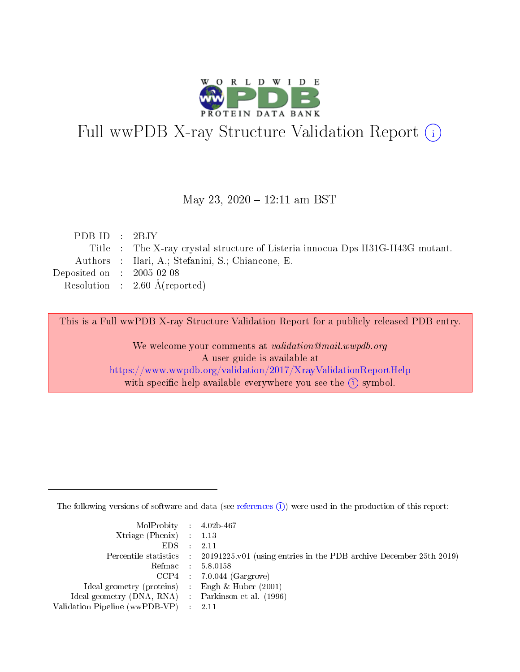

# Full wwPDB X-ray Structure Validation Report (i)

#### May 23, 2020 - 12:11 am BST

| PDB ID : $2BJY$                      |                                                                               |
|--------------------------------------|-------------------------------------------------------------------------------|
|                                      | Title : The X-ray crystal structure of Listeria innocus Dps H31G-H43G mutant. |
|                                      | Authors : Ilari, A.; Stefanini, S.; Chiancone, E.                             |
| Deposited on $\therefore$ 2005-02-08 |                                                                               |
|                                      | Resolution : $2.60 \text{ Å}$ (reported)                                      |
|                                      |                                                                               |

This is a Full wwPDB X-ray Structure Validation Report for a publicly released PDB entry.

We welcome your comments at validation@mail.wwpdb.org A user guide is available at <https://www.wwpdb.org/validation/2017/XrayValidationReportHelp> with specific help available everywhere you see the  $(i)$  symbol.

The following versions of software and data (see [references](https://www.wwpdb.org/validation/2017/XrayValidationReportHelp#references)  $(i)$ ) were used in the production of this report:

| $MolProbability$ 4.02b-467                          |                                                                                            |
|-----------------------------------------------------|--------------------------------------------------------------------------------------------|
| Xtriage (Phenix) $: 1.13$                           |                                                                                            |
| $EDS$ :                                             | -2.11                                                                                      |
|                                                     | Percentile statistics : 20191225.v01 (using entries in the PDB archive December 25th 2019) |
|                                                     | Refmac : 5.8.0158                                                                          |
|                                                     | $CCP4$ : 7.0.044 (Gargrove)                                                                |
| Ideal geometry (proteins) : Engh $\&$ Huber (2001)  |                                                                                            |
| Ideal geometry (DNA, RNA) : Parkinson et al. (1996) |                                                                                            |
| Validation Pipeline (wwPDB-VP)                      | -2.11                                                                                      |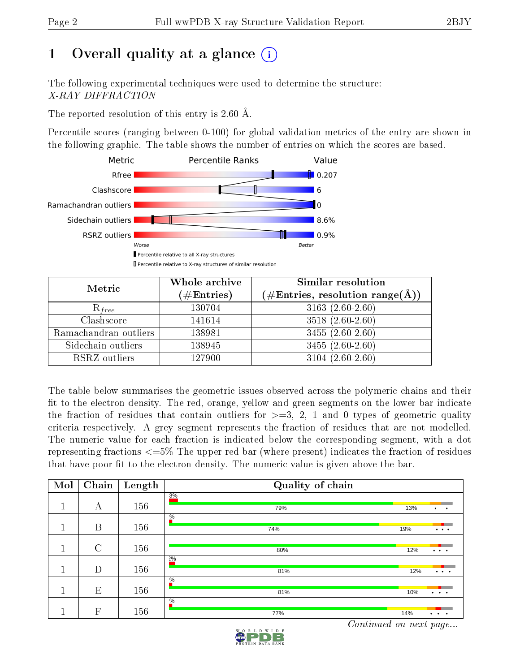# 1 [O](https://www.wwpdb.org/validation/2017/XrayValidationReportHelp#overall_quality)verall quality at a glance  $(i)$

The following experimental techniques were used to determine the structure: X-RAY DIFFRACTION

The reported resolution of this entry is 2.60 Å.

Percentile scores (ranging between 0-100) for global validation metrics of the entry are shown in the following graphic. The table shows the number of entries on which the scores are based.



| Metric                | Whole archive<br>$(\#\text{Entries})$ | Similar resolution<br>$(\#\text{Entries},\,\text{resolution}\,\,\text{range}(\textup{\AA}))$ |
|-----------------------|---------------------------------------|----------------------------------------------------------------------------------------------|
| $R_{free}$            | 130704                                | $3163(2.60-2.60)$                                                                            |
| Clashscore            | 141614                                | $3518(2.60-2.60)$                                                                            |
| Ramachandran outliers | 138981                                | $3455(2.60-2.60)$                                                                            |
| Sidechain outliers    | 138945                                | $3455(2.60-2.60)$                                                                            |
| RSRZ outliers         | 127900                                | $3104(2.60-2.60)$                                                                            |

The table below summarises the geometric issues observed across the polymeric chains and their fit to the electron density. The red, orange, yellow and green segments on the lower bar indicate the fraction of residues that contain outliers for  $>=3, 2, 1$  and 0 types of geometric quality criteria respectively. A grey segment represents the fraction of residues that are not modelled. The numeric value for each fraction is indicated below the corresponding segment, with a dot representing fractions  $\epsilon=5\%$  The upper red bar (where present) indicates the fraction of residues that have poor fit to the electron density. The numeric value is given above the bar.

| Mol | Chain        | Length | Quality of chain     |     |                                   |
|-----|--------------|--------|----------------------|-----|-----------------------------------|
|     | А            | 156    | 3%<br>79%            | 13% | $\bullet$<br>$\bullet$            |
|     |              |        | $\%$                 |     |                                   |
|     | B            | 156    | 74%                  | 19% | $\bullet$ . $\bullet$ . $\bullet$ |
|     | $\rm C$      | 156    | 80%                  | 12% | $\cdots$                          |
|     | D            | 156    | $2\%$<br>81%         | 12% | $\cdots$                          |
|     | E            | 156    | $\frac{0}{6}$<br>81% | 10% | $\cdots$                          |
|     | $\mathbf{F}$ | 156    | $\frac{0}{6}$<br>77% | 14% | $\ddot{\phantom{a}}$<br>$\bullet$ |

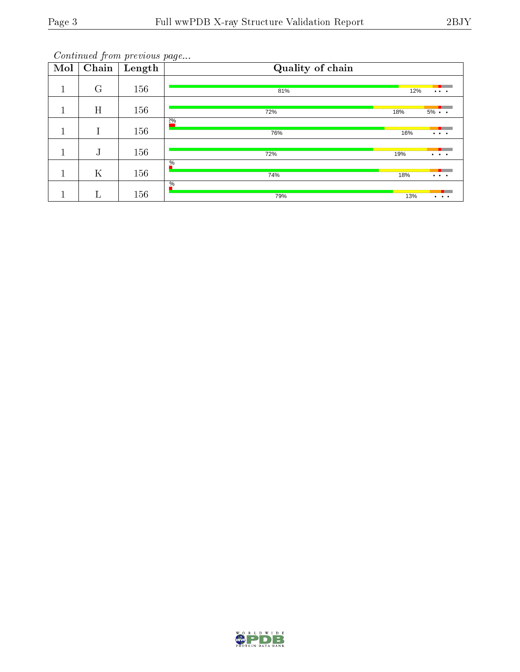| Mol | $\overline{\text{Chain}}$ | Length | Quality of chain     |     |                                                                                             |
|-----|---------------------------|--------|----------------------|-----|---------------------------------------------------------------------------------------------|
| 1   | $\rm G$                   | 156    | 81%                  | 12% | $\cdots$                                                                                    |
| -1  | H                         | 156    | 72%                  | 18% | $5\% \cdot \cdot$                                                                           |
|     | I                         | 156    | $2\%$<br>76%         | 16% | $\bullet$ , $\bullet$ , $\bullet$                                                           |
|     | J                         | 156    | 72%                  | 19% | $\bullet$ , $\bullet$ , $\bullet$                                                           |
|     | K                         | 156    | $\frac{0}{6}$<br>74% | 18% | $\cdots$                                                                                    |
|     | $\Gamma$                  | 156    | $\frac{0}{6}$<br>79% | 13% | $\begin{array}{cccccccccccccc} \bullet & \bullet & \bullet & \bullet & \bullet \end{array}$ |

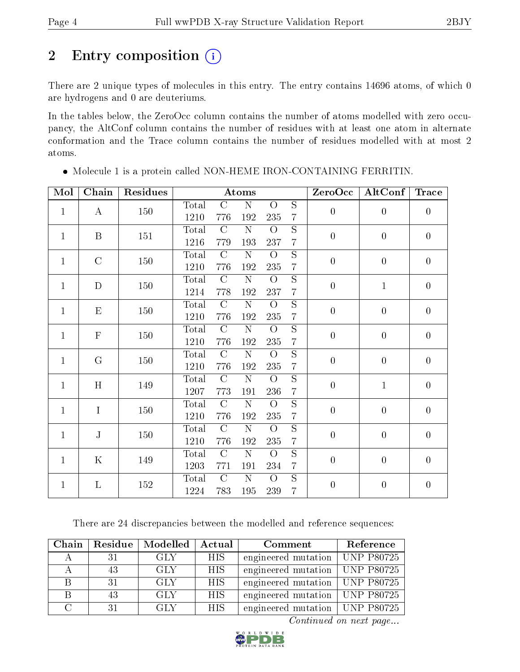# 2 Entry composition (i)

There are 2 unique types of molecules in this entry. The entry contains 14696 atoms, of which 0 are hydrogens and 0 are deuteriums.

In the tables below, the ZeroOcc column contains the number of atoms modelled with zero occupancy, the AltConf column contains the number of residues with at least one atom in alternate conformation and the Trace column contains the number of residues modelled with at most 2 atoms.

| Mol          | Chain            | Residues |       |                | Atoms                 |                |                         | ZeroOcc          | AltConf          | <b>Trace</b>     |  |  |  |  |  |  |  |
|--------------|------------------|----------|-------|----------------|-----------------------|----------------|-------------------------|------------------|------------------|------------------|--|--|--|--|--|--|--|
| $\mathbf{1}$ | $\mathbf{A}$     | 150      | Total | $\mathcal{C}$  | $\overline{\rm N}$    | $\overline{O}$ | $\overline{S}$          | $\boldsymbol{0}$ | $\boldsymbol{0}$ | $\overline{0}$   |  |  |  |  |  |  |  |
|              |                  |          | 1210  | 776            | 192                   | 235            | $\overline{7}$          |                  |                  |                  |  |  |  |  |  |  |  |
| $\mathbf{1}$ | $\boldsymbol{B}$ | 151      | Total | $\mathcal{C}$  | ${\rm N}$             | $\overline{O}$ | $\overline{S}$          | $\boldsymbol{0}$ | $\boldsymbol{0}$ | $\overline{0}$   |  |  |  |  |  |  |  |
|              |                  |          | 1216  | 779            | 193                   | 237            | $\overline{7}$          |                  |                  |                  |  |  |  |  |  |  |  |
| $\mathbf{1}$ | $\mathcal{C}$    | 150      | Total | $\mathcal{C}$  | ${\rm N}$             | $\overline{O}$ | $\overline{S}$          | $\boldsymbol{0}$ | $\boldsymbol{0}$ | $\boldsymbol{0}$ |  |  |  |  |  |  |  |
|              |                  |          | 1210  | 776            | 192                   | $235\,$        | $\overline{7}$          |                  |                  |                  |  |  |  |  |  |  |  |
| $\mathbf{1}$ | ${\bf D}$        | 150      | Total | $\mathcal{C}$  | ${\rm N}$             | $\overline{O}$ | $\overline{S}$          | $\boldsymbol{0}$ | $\mathbf{1}$     | $\boldsymbol{0}$ |  |  |  |  |  |  |  |
|              |                  |          | 1214  | 778            | 192                   | 237            | $\overline{7}$          |                  |                  |                  |  |  |  |  |  |  |  |
| $\mathbf{1}$ | E                | 150      | Total | $\mathcal{C}$  | ${\bf N}$             | $\overline{O}$ | $\mathbf S$             | $\boldsymbol{0}$ | $\boldsymbol{0}$ | $\boldsymbol{0}$ |  |  |  |  |  |  |  |
|              |                  |          | 1210  | 776            | 192                   | 235            | $\overline{7}$          |                  |                  |                  |  |  |  |  |  |  |  |
| $\mathbf{1}$ | $\mathbf F$      | 150      | Total | $\mathcal{C}$  | ${\rm N}$             | $\overline{O}$ | $\mathbf S$             | $\boldsymbol{0}$ | $\boldsymbol{0}$ | $\overline{0}$   |  |  |  |  |  |  |  |
|              |                  |          | 1210  | 776            | 192                   | $235\,$        | $\overline{7}$          |                  |                  |                  |  |  |  |  |  |  |  |
| $\mathbf{1}$ | G                | 150      | Total | $\mathcal{C}$  | ${\rm N}$             | $\overline{O}$ | $\overline{S}$          | $\boldsymbol{0}$ | $\boldsymbol{0}$ | $\overline{0}$   |  |  |  |  |  |  |  |
|              |                  |          | 1210  | 776            | 192                   | $235\,$        | $\overline{7}$          |                  |                  |                  |  |  |  |  |  |  |  |
| $\mathbf{1}$ | H                | 149      | Total | $\mathcal{C}$  | ${\bf N}$             | $\overline{O}$ | $\overline{S}$          | $\overline{0}$   | $\mathbf{1}$     | $\boldsymbol{0}$ |  |  |  |  |  |  |  |
|              |                  |          | 1207  | 773            | 191                   | 236            | $\overline{7}$          |                  |                  |                  |  |  |  |  |  |  |  |
| $\mathbf{1}$ | $\mathbf I$      | 150      | Total | $\mathcal{C}$  | ${\bf N}$             | $\overline{O}$ | $\overline{\mathrm{s}}$ | $\boldsymbol{0}$ | $\boldsymbol{0}$ | $\overline{0}$   |  |  |  |  |  |  |  |
|              |                  |          | 1210  | 776            | 192                   | $235\,$        | $\overline{7}$          |                  |                  |                  |  |  |  |  |  |  |  |
| $\mathbf{1}$ | ${\bf J}$        | 150      | Total | $\overline{C}$ | $\overline{\rm N}$    | $\overline{O}$ | $\overline{S}$          | $\boldsymbol{0}$ | $\boldsymbol{0}$ | $\boldsymbol{0}$ |  |  |  |  |  |  |  |
|              |                  |          | 1210  | 776            | 192                   | 235            | $\overline{7}$          |                  |                  |                  |  |  |  |  |  |  |  |
| $\mathbf{1}$ | $\mathbf K$      | 149      | Total | $\mathcal{C}$  | $\overline{\text{N}}$ | $\overline{O}$ | $\overline{\mathrm{s}}$ | $\boldsymbol{0}$ | $\boldsymbol{0}$ | $\overline{0}$   |  |  |  |  |  |  |  |
|              |                  |          | 1203  | 771            | 191                   | 234            | $\overline{7}$          |                  |                  |                  |  |  |  |  |  |  |  |
| $\mathbf{1}$ | L                | 152      | Total | $\mathcal{C}$  | ${\bf N}$             | $\overline{O}$ | $\overline{S}$          | $\boldsymbol{0}$ | $\boldsymbol{0}$ | $\boldsymbol{0}$ |  |  |  |  |  |  |  |
|              |                  |          | 1224  | 783            | 195                   | 239            | $\overline{7}$          |                  |                  |                  |  |  |  |  |  |  |  |

 $\bullet$  Molecule 1 is a protein called NON-HEME IRON-CONTAINING FERRITIN.

There are 24 discrepancies between the modelled and reference sequences:

| Chain | Residue | Modelled | Actual | Comment                          | Reference      |
|-------|---------|----------|--------|----------------------------------|----------------|
|       |         | GLY      | HIS.   | engineered mutation              | $ $ UNP P80725 |
|       | 43      | GLY      | HIS.   | engineered mutation   UNP P80725 |                |
|       | 31      | GLY      | HIS.   | engineered mutation   UNP P80725 |                |
|       | 43      | GLY      | HIS.   | engineered mutation   UNP P80725 |                |
|       | 31      | GLY      | HIS.   | engineered mutation   UNP P80725 |                |

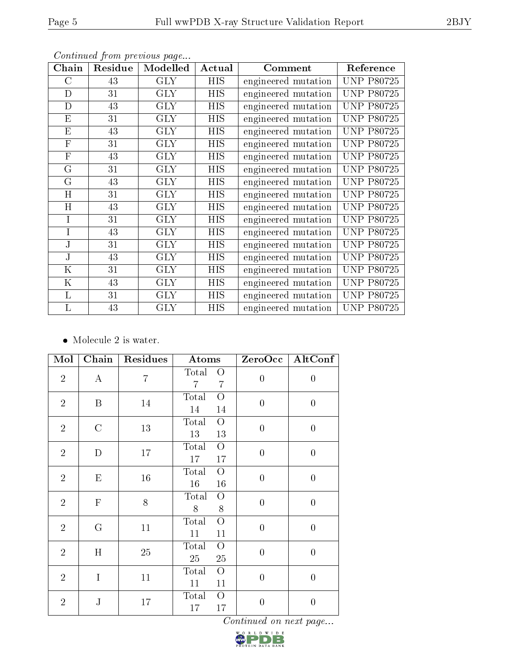| Chain          | Residue | Modelled   | Actual     | Comment             | Reference         |
|----------------|---------|------------|------------|---------------------|-------------------|
| $\rm C$        | 43      | <b>GLY</b> | <b>HIS</b> | engineered mutation | <b>UNP P80725</b> |
| D              | 31      | <b>GLY</b> | <b>HIS</b> | engineered mutation | <b>UNP P80725</b> |
| D              | 43      | <b>GLY</b> | HIS        | engineered mutation | <b>UNP P80725</b> |
| E              | 31      | <b>GLY</b> | HIS        | engineered mutation | <b>UNP P80725</b> |
| E              | 43      | <b>GLY</b> | HIS        | engineered mutation | <b>UNP P80725</b> |
| $\mathbf{F}$   | 31      | <b>GLY</b> | HIS        | engineered mutation | <b>UNP P80725</b> |
| $\mathbf{F}$   | 43      | <b>GLY</b> | HIS        | engineered mutation | <b>UNP P80725</b> |
| G              | 31      | <b>GLY</b> | <b>HIS</b> | engineered mutation | <b>UNP P80725</b> |
| G              | 43      | <b>GLY</b> | <b>HIS</b> | engineered mutation | <b>UNP P80725</b> |
| H              | 31      | <b>GLY</b> | HIS        | engineered mutation | <b>UNP P80725</b> |
| H              | 43      | <b>GLY</b> | HIS        | engineered mutation | <b>UNP P80725</b> |
| $\overline{I}$ | 31      | <b>GLY</b> | HIS        | engineered mutation | <b>UNP P80725</b> |
| I              | 43      | <b>GLY</b> | <b>HIS</b> | engineered mutation | <b>UNP P80725</b> |
| J              | 31      | <b>GLY</b> | HIS        | engineered mutation | <b>UNP P80725</b> |
| J              | 43      | <b>GLY</b> | HIS        | engineered mutation | <b>UNP P80725</b> |
| $\rm K$        | 31      | <b>GLY</b> | <b>HIS</b> | engineered mutation | <b>UNP P80725</b> |
| $\mathbf K$    | 43      | <b>GLY</b> | HIS        | engineered mutation | <b>UNP P80725</b> |
| L              | 31      | <b>GLY</b> | HIS        | engineered mutation | <b>UNP P80725</b> |
| L              | 43      | <b>GLY</b> | HIS        | engineered mutation | <b>UNP P80725</b> |

• Molecule 2 is water.

| Mol            | Chain          | Residues       | Atoms                                   | ZeroOcc          | AltConf          |
|----------------|----------------|----------------|-----------------------------------------|------------------|------------------|
| $\overline{2}$ | $\bf{A}$       | $\overline{7}$ | Total<br>O<br>7<br>$\overline{7}$       | $\overline{0}$   | $\boldsymbol{0}$ |
| $\overline{2}$ | B              | 14             | $\overline{O}$<br>Total<br>14<br>14     | $\overline{0}$   | $\boldsymbol{0}$ |
| $\overline{2}$ | $\mathcal{C}$  | 13             | Total<br>$\overline{O}$<br>$13\,$<br>13 | $\overline{0}$   | $\boldsymbol{0}$ |
| $\overline{2}$ | D              | 17             | Total<br>$\bigcirc$<br>17<br>17         | $\overline{0}$   | $\boldsymbol{0}$ |
| $\overline{2}$ | $\mathbf E$    | $16\,$         | Total<br>$\overline{O}$<br>$16\,$<br>16 | $\overline{0}$   | $\boldsymbol{0}$ |
| $\overline{2}$ | $\mathbf F$    | 8              | Total<br>$\overline{O}$<br>$8\,$<br>8   | $\overline{0}$   | $\boldsymbol{0}$ |
| $\overline{2}$ | $\mathbf G$    | 11             | Total<br>$\overline{O}$<br>11<br>11     | $\overline{0}$   | $\overline{0}$   |
| $\overline{2}$ | H              | 25             | Total<br>$\overline{O}$<br>$25\,$<br>25 | $\overline{0}$   | $\boldsymbol{0}$ |
| $\overline{2}$ | $\overline{I}$ | 11             | Total<br>$\overline{O}$<br>11<br>11     | $\overline{0}$   | $\overline{0}$   |
| $\overline{2}$ | ${\bf J}$      | 17             | Total<br>$\overline{O}$<br>17<br>17     | $\boldsymbol{0}$ | $\boldsymbol{0}$ |

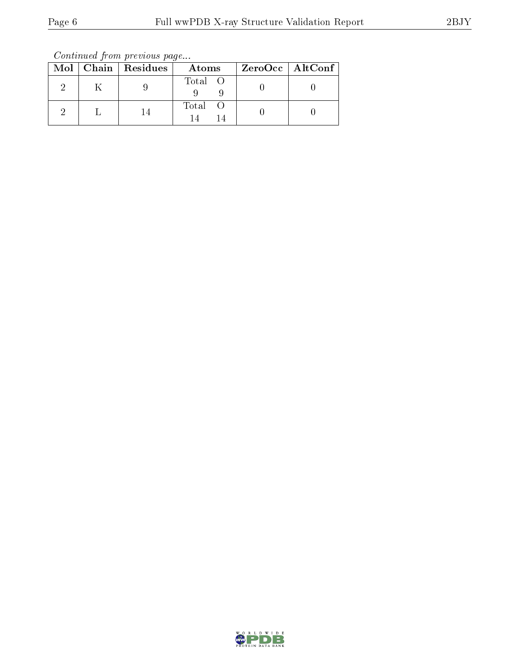Continued from previous page...

|  | $Mol$   Chain   Residues | Atoms   | ZeroOcc   AltConf |  |
|--|--------------------------|---------|-------------------|--|
|  |                          | Total O |                   |  |
|  |                          | Total   |                   |  |

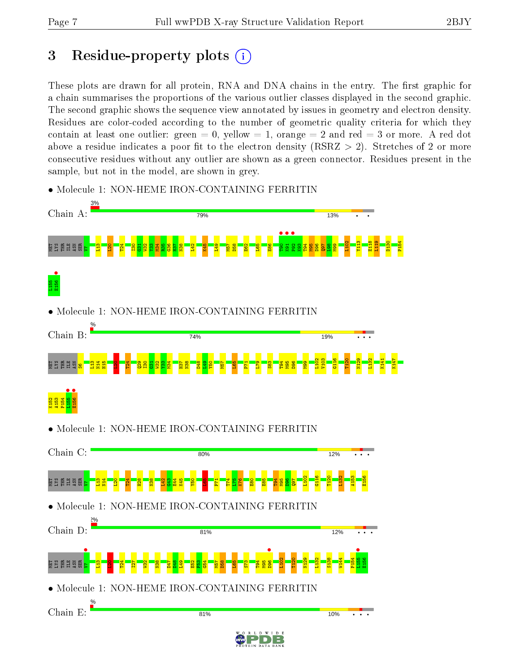# 3 Residue-property plots  $(i)$

These plots are drawn for all protein, RNA and DNA chains in the entry. The first graphic for a chain summarises the proportions of the various outlier classes displayed in the second graphic. The second graphic shows the sequence view annotated by issues in geometry and electron density. Residues are color-coded according to the number of geometric quality criteria for which they contain at least one outlier: green  $= 0$ , yellow  $= 1$ , orange  $= 2$  and red  $= 3$  or more. A red dot above a residue indicates a poor fit to the electron density (RSRZ  $> 2$ ). Stretches of 2 or more consecutive residues without any outlier are shown as a green connector. Residues present in the sample, but not in the model, are shown in grey.



• Molecule 1: NON-HEME IRON-CONTAINING FERRITIN

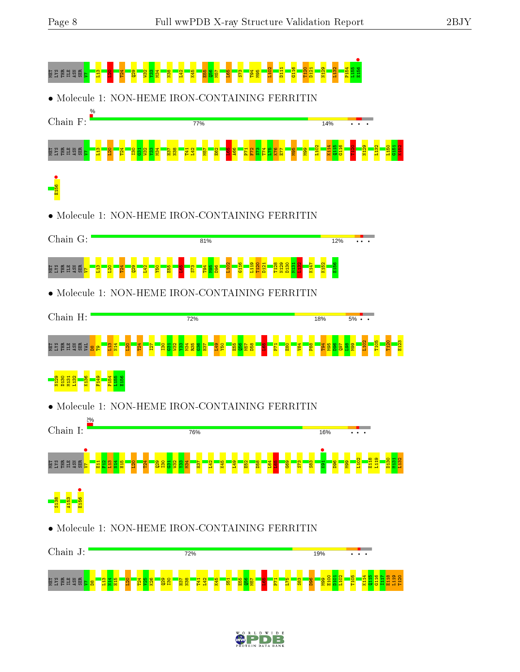

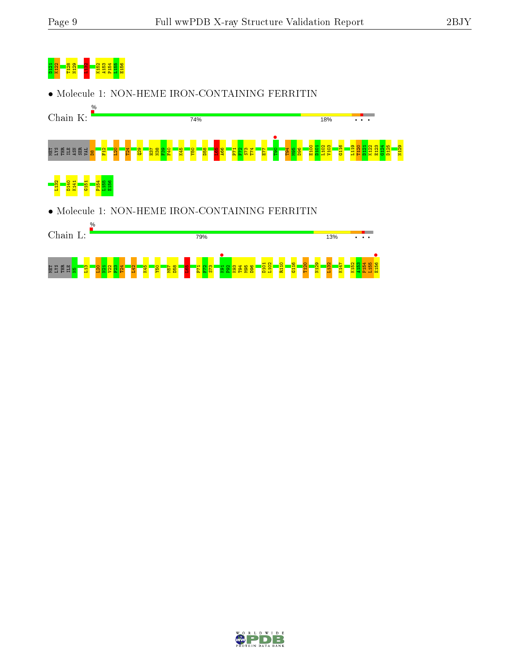# <mark>d 21 K122 T12</mark><br><mark>D128 A15</mark> A15<br><mark>B125 A15</mark> P15 A15

• Molecule 1: NON-HEME IRON-CONTAINING FERRITIN



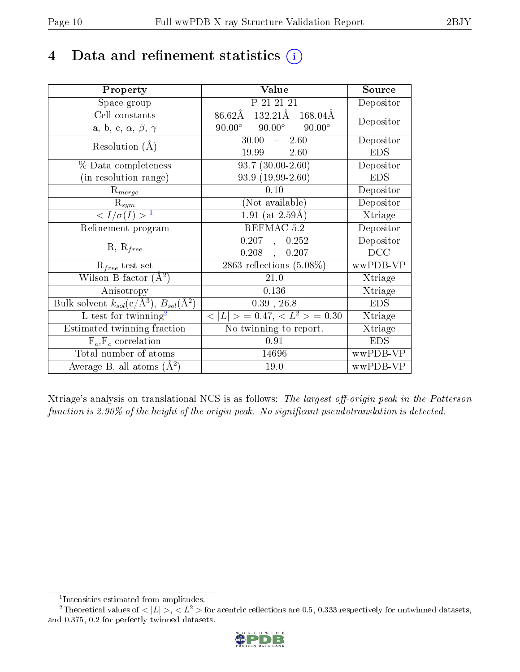# 4 Data and refinement statistics  $(i)$

| Property                                                   | Value                                                    | Source     |
|------------------------------------------------------------|----------------------------------------------------------|------------|
| Space group                                                | P 21 21 21                                               | Depositor  |
| Cell constants                                             | $132.21\overline{\rm A}$<br>86.62Å<br>$168.04\text{\AA}$ | Depositor  |
| a, b, c, $\alpha$ , $\beta$ , $\gamma$                     | $90.00^\circ$<br>$90.00^\circ$<br>$90.00^\circ$          |            |
| Resolution $(A)$                                           | 30.00<br>2.60<br>$\frac{1}{2}$                           | Depositor  |
|                                                            | $19.99 - 2.60$                                           | <b>EDS</b> |
| $\%$ Data completeness                                     | $\overline{93.7}$ $(30.00-2.60)$                         | Depositor  |
| (in resolution range)                                      | $93.9(19.99-2.60)$                                       | <b>EDS</b> |
| $R_{merge}$                                                | 0.10                                                     | Depositor  |
| $\mathrm{R}_{sym}$                                         | (Not available)                                          | Depositor  |
| $\langle I/\sigma(I) \rangle^{-1}$                         | $1.91$ (at 2.59Å)                                        | Xtriage    |
| Refinement program                                         | REFMAC 5.2                                               | Depositor  |
|                                                            | 0.207<br>0.252<br>$\mathbf{A}$                           | Depositor  |
| $R, R_{free}$                                              | $0.208$ ,<br>0.207                                       | DCC        |
| $R_{free}$ test set                                        | 2863 reflections $(5.08\%)$                              | wwPDB-VP   |
| Wilson B-factor $(\AA^2)$                                  | $21.0\,$                                                 | Xtriage    |
| Anisotropy                                                 | 0.136                                                    | Xtriage    |
| Bulk solvent $k_{sol}$ (e/Å <sup>3</sup> ), $B_{sol}(A^2)$ | $0.39$ , $26.8$                                          | <b>EDS</b> |
| L-test for twinning <sup>2</sup>                           | $< L >$ = 0.47, $< L2 >$ = 0.30                          | Xtriage    |
| Estimated twinning fraction                                | No twinning to report.                                   | Xtriage    |
| $F_o, F_c$ correlation                                     | 0.91                                                     | <b>EDS</b> |
| Total number of atoms                                      | 14696                                                    | wwPDB-VP   |
| Average B, all atoms $(A^2)$                               | 19.0                                                     | wwPDB-VP   |

Xtriage's analysis on translational NCS is as follows: The largest off-origin peak in the Patterson function is  $2.90\%$  of the height of the origin peak. No significant pseudotranslation is detected.

<sup>&</sup>lt;sup>2</sup>Theoretical values of  $\langle |L| \rangle$ ,  $\langle L^2 \rangle$  for acentric reflections are 0.5, 0.333 respectively for untwinned datasets, and 0.375, 0.2 for perfectly twinned datasets.



<span id="page-9-1"></span><span id="page-9-0"></span><sup>1</sup> Intensities estimated from amplitudes.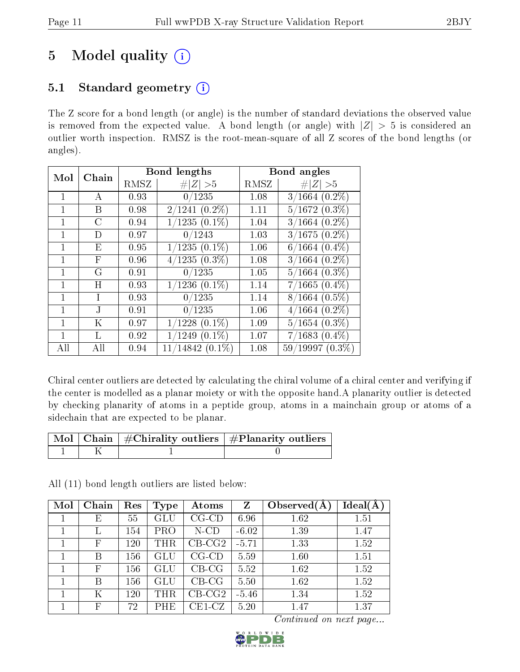# 5 Model quality  $(i)$

# 5.1 Standard geometry  $(i)$

The Z score for a bond length (or angle) is the number of standard deviations the observed value is removed from the expected value. A bond length (or angle) with  $|Z| > 5$  is considered an outlier worth inspection. RMSZ is the root-mean-square of all Z scores of the bond lengths (or angles).

| Mol | Chain         |      | <b>Bond lengths</b> |      | Bond angles        |
|-----|---------------|------|---------------------|------|--------------------|
|     |               | RMSZ | # $ Z  > 5$         | RMSZ | # $ Z  > 5$        |
| 1   | A             | 0.93 | 0/1235              | 1.08 | $3/1664$ $(0.2\%)$ |
|     | Β             | 0.98 | $2/1241$ $(0.2\%)$  | 1.11 | $5/1672$ $(0.3\%)$ |
| 1   | $\mathcal{C}$ | 0.94 | $1/1235(0.1\%)$     | 1.04 | $3/1664$ $(0.2\%)$ |
|     | $\Box$        | 0.97 | 0/1243              | 1.03 | $3/1675(0.2\%)$    |
| 1   | E             | 0.95 | $1/1235(0.1\%)$     | 1.06 | $6/1664~(0.4\%)$   |
|     | F             | 0.96 | $4/1235(0.3\%)$     | 1.08 | $3/1664$ $(0.2\%)$ |
| 1   | G             | 0.91 | 0/1235              | 1.05 | $5/1664$ $(0.3\%)$ |
|     | Η             | 0.93 | $1/1236$ $(0.1\%)$  | 1.14 | $7/1665(0.4\%)$    |
| 1   | T             | 0.93 | 0/1235              | 1.14 | $8/1664$ $(0.5\%)$ |
| 1   | J.            | 0.91 | 0/1235              | 1.06 | $4/1664$ $(0.2\%)$ |
|     | Κ             | 0.97 | $1/1228$ $(0.1\%)$  | 1.09 | $5/1654(0.3\%)$    |
|     | L             | 0.92 | $1/1249$ $(0.1\%)$  | 1.07 | $7/1683(0.4\%)$    |
| All | All           | 0.94 | $11/14842(0.1\%)$   | 1.08 | $59/19997(0.3\%)$  |

Chiral center outliers are detected by calculating the chiral volume of a chiral center and verifying if the center is modelled as a planar moiety or with the opposite hand.A planarity outlier is detected by checking planarity of atoms in a peptide group, atoms in a mainchain group or atoms of a sidechain that are expected to be planar.

|  | $\overline{\mid}$ Mol $\mid$ Chain $\mid$ #Chirality outliers $\mid$ #Planarity outliers $\mid$ |
|--|-------------------------------------------------------------------------------------------------|
|  |                                                                                                 |

All (11) bond length outliers are listed below:

| Mol | Chain        | Res | Type                 | Atoms                   | $\mathbf{Z}$ | Observed $(A)$ | Ideal(A) |
|-----|--------------|-----|----------------------|-------------------------|--------------|----------------|----------|
|     | Е            | 55  | $\operatorname{GLU}$ | $CG$ - $CD$             | 6.96         | 1.62           | 1.51     |
|     |              | 154 | <b>PRO</b>           | $N$ -CD                 | $-6.02$      | 1.39           | 1.47     |
|     | $_{\rm F}$   | 120 | THR                  | $CB-CG2$                | $-5.71$      | 1.33           | 1.52     |
|     | В            | 156 | $\operatorname{GLU}$ | $CG$ - $CD$             | 5.59         | 1.60           | 1.51     |
|     | F            | 156 | GLU                  | $CB-CG$                 | 5.52         | 1.62           | 1.52     |
|     | В            | 156 | GLU                  | $CB-CG$                 | 5.50         | 1.62           | 1.52     |
|     | Κ            | 120 | THR                  | $CB-CG2$                | $-5.46$      | 1.34           | 1.52     |
|     | $\mathbb{F}$ | 72  | PHE                  | $\operatorname{CE1-CZ}$ | 5.20         | 1.47           | 1.37     |

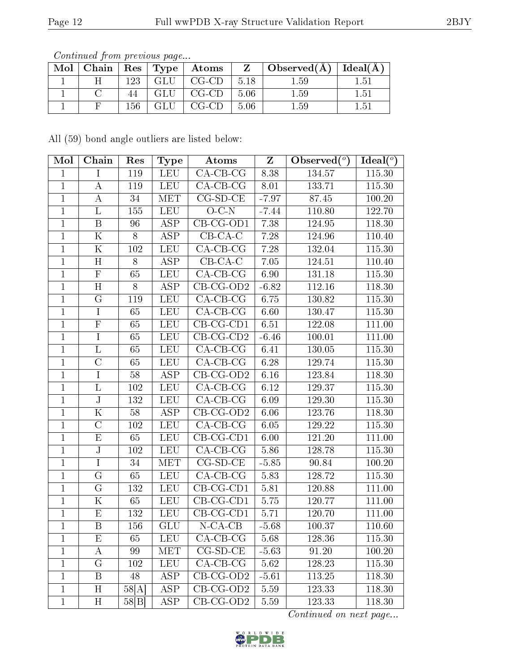|  |       |       | Mol   Chain   Res   Type   Atoms |                    | $\perp$ Z $\perp$ Observed(Å) $\perp$ Ideal(Å) $\perp$ |      |
|--|-------|-------|----------------------------------|--------------------|--------------------------------------------------------|------|
|  | 123 - |       | $GLU$   $CG-CD$   5.18           |                    | $1.59\,$                                               | 1.51 |
|  |       | GLU 1 | $\mid$ CG-CD $\mid$              | - 5.06             | 1.59                                                   | 1.51 |
|  | 156 - |       | $GLU$   $CG-CD$                  | $\vert 5.06 \vert$ | 1.59                                                   | 1.51 |

All (59) bond angle outliers are listed below:

| Mol          | Chain                   | Res   | Type       | Atoms                  | $\mathbf{Z}$ | Observed $(°)$      | Ideal $(°)$ |
|--------------|-------------------------|-------|------------|------------------------|--------------|---------------------|-------------|
| $\mathbf{1}$ | $\mathbf I$             | 119   | <b>LEU</b> | $CA-CB-CG$             | 8.38         | 134.57              | 115.30      |
| $\mathbf{1}$ | $\boldsymbol{A}$        | 119   | <b>LEU</b> | $CA$ -CB-CG            | 8.01         | 133.71              | 115.30      |
| $\mathbf{1}$ | $\boldsymbol{A}$        | 34    | <b>MET</b> | $CG-SD-CE$             | $-7.97$      | 87.45               | 100.20      |
| $\mathbf 1$  | L                       | 155   | <b>LEU</b> | $O-C-N$                | $-7.44$      | 110.80              | 122.70      |
| $\mathbf{1}$ | $\mathbf B$             | 96    | <b>ASP</b> | CB-CG-OD1              | 7.38         | 124.95              | 118.30      |
| $\mathbf{1}$ | $\mathbf K$             | 8     | <b>ASP</b> | $CB-CA-C$              | 7.28         | 124.96              | 110.40      |
| $\mathbf{1}$ | ${\bf K}$               | 102   | <b>LEU</b> | $CA$ -CB-CG            | 7.28         | 132.04              | 115.30      |
| $\mathbf{1}$ | H                       | 8     | <b>ASP</b> | $CB-CA-C$              | 7.05         | 124.51              | 110.40      |
| $\mathbf{1}$ | $\mathbf F$             | 65    | <b>LEU</b> | $CA-CB-CG$             | 6.90         | 131.18              | 115.30      |
| $\mathbf{1}$ | H                       | 8     | <b>ASP</b> | $CB-CG-OD2$            | $-6.82$      | $\overline{1}12.16$ | 118.30      |
| $\mathbf{1}$ | $\mathbf G$             | 119   | <b>LEU</b> | $CA-CB-CG$             | 6.75         | 130.82              | 115.30      |
| $\mathbf{1}$ | $\mathbf I$             | 65    | <b>LEU</b> | $CA$ -CB-CG            | 6.60         | 130.47              | 115.30      |
| $\mathbf{1}$ | $\overline{\mathrm{F}}$ | 65    | <b>LEU</b> | $CB-CG-CD1$            | 6.51         | 122.08              | 111.00      |
| $\mathbf{1}$ | $\bf{I}$                | 65    | <b>LEU</b> | $CB$ -CG-CD2           | $-6.46$      | 100.01              | 111.00      |
| $\mathbf{1}$ | $\Gamma$                | 65    | <b>LEU</b> | $CA-CB-CG$             | 6.41         | 130.05              | 115.30      |
| $\mathbf{1}$ | $\overline{C}$          | 65    | <b>LEU</b> | $\overline{CA}$ -CB-CG | 6.28         | 129.74              | 115.30      |
| $\mathbf{1}$ | $\bf{I}$                | 58    | <b>ASP</b> | $CB-CG-OD2$            | $6.16\,$     | 123.84              | 118.30      |
| $\mathbf{1}$ | $\overline{\mathbf{L}}$ | 102   | <b>LEU</b> | $CA-CB-CG$             | 6.12         | 129.37              | 115.30      |
| $\mathbf{1}$ | $\rm J$                 | 132   | <b>LEU</b> | $CA$ -CB-CG            | 6.09         | 129.30              | 115.30      |
| $\mathbf{1}$ | $\overline{\mathrm{K}}$ | 58    | <b>ASP</b> | $CB-CG-OD2$            | 6.06         | 123.76              | 118.30      |
| $\mathbf{1}$ | $\mathcal{C}$           | 102   | <b>LEU</b> | $CA-CB-CG$             | 6.05         | 129.22              | 115.30      |
| $\mathbf{1}$ | $\overline{\mathrm{E}}$ | 65    | <b>LEU</b> | $CB-CG-CD1$            | $6.00\,$     | 121.20              | 111.00      |
| $\mathbf{1}$ | $\bf J$                 | 102   | LEU        | $CA-CB-CG$             | 5.86         | 128.78              | 115.30      |
| $\mathbf{1}$ | $\overline{I}$          | 34    | <b>MET</b> | $CG-SD-CE$             | $-5.85$      | 90.84               | 100.20      |
| $\mathbf{1}$ | G                       | 65    | <b>LEU</b> | $CA$ -CB-CG            | 5.83         | 128.72              | 115.30      |
| $\mathbf{1}$ | G                       | 132   | <b>LEU</b> | $CB-CG-CD1$            | 5.81         | 120.88              | 111.00      |
| $\mathbf{1}$ | $\overline{\mathrm{K}}$ | 65    | <b>LEU</b> | $CB-CG-CD1$            | 5.75         | 120.77              | 111.00      |
| $\mathbf{1}$ | ${\rm E}$               | 132   | <b>LEU</b> | $CB-CG-CD1$            | 5.71         | 120.70              | 111.00      |
| $\mathbf{1}$ | $\, {\bf B}$            | 156   | GLU        | $N$ -CA-CB             | $-5.68$      | 100.37              | 110.60      |
| T            | E                       | 65    | <b>LEU</b> | $CA-CB-CG$             | 5.68         | 128.36              | 115.30      |
| $\mathbf 1$  | Α                       | 99    | MET        | $CG-SD-CE$             | $-5.63$      | 91.20               | 100.20      |
| $\mathbf{1}$ | G                       | 102   | <b>LEU</b> | $CA-CB-CG$             | 5.62         | 128.23              | 115.30      |
| $\mathbf{1}$ | B                       | 48    | <b>ASP</b> | $CB-CG-OD2$            | $-5.61$      | 113.25              | 118.30      |
| $\mathbf{1}$ | H                       | 58[A] | <b>ASP</b> | $CB-CG-OD2$            | 5.59         | 123.33              | 118.30      |
| $\mathbf{1}$ | H                       | 58[B] | ASP        | $CB-CG-OD2$            | $5.59\,$     | 123.33              | 118.30      |

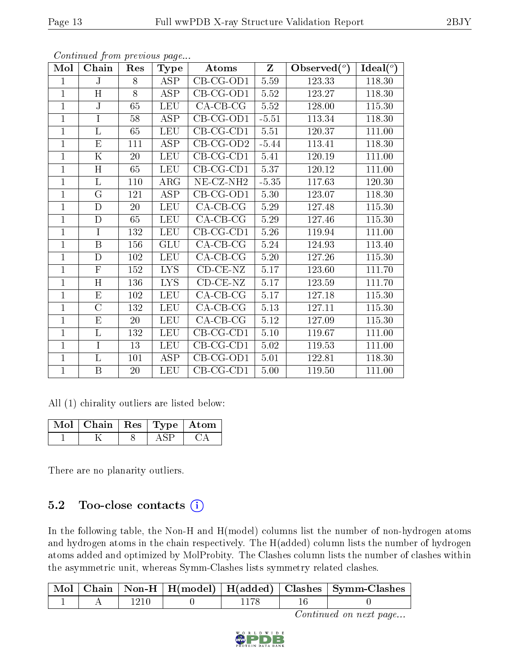| Mol            | Chain                   | Res | <b>Type</b>             | Atoms                         | $Z_{\parallel}$ | Observed $(°)$ | $\text{Ideal}({}^o)$ |
|----------------|-------------------------|-----|-------------------------|-------------------------------|-----------------|----------------|----------------------|
| 1              | $_{\rm J}$              | 8   | <b>ASP</b>              | $\overline{\text{CB-CG-OD1}}$ | $5.59\,$        | 123.33         | 118.30               |
| $\overline{1}$ | $\overline{\rm H}$      | 8   | <b>ASP</b>              | $CB-CG-OD1$                   | 5.52            | 123.27         | 118.30               |
| $\mathbf{1}$   | J                       | 65  | LEU                     | $CA-CB-CG$                    | 5.52            | 128.00         | 115.30               |
| $\overline{1}$ | $\overline{I}$          | 58  | <b>ASP</b>              | $CB-CG-OD1$                   | $-5.51$         | 113.34         | 118.30               |
| $\mathbf{1}$   | $\overline{\mathrm{L}}$ | 65  | LEU                     | $CB-CG-CD1$                   | 5.51            | 120.37         | 111.00               |
| $\mathbf 1$    | E                       | 111 | <b>ASP</b>              | $CB-CG-OD2$                   | $-5.44$         | 113.41         | 118.30               |
| $\mathbf 1$    | K                       | 20  | <b>LEU</b>              | $CB-CG-CD1$                   | 5.41            | 120.19         | 111.00               |
| $\mathbf 1$    | $\overline{H}$          | 65  | <b>LEU</b>              | $CB-CG-CD1$                   | 5.37            | 120.12         | 111.00               |
| $\mathbf{1}$   | $\overline{\mathrm{L}}$ | 110 | $\rm{ARG}$              | NE-CZ-NH <sub>2</sub>         | $-5.35$         | 117.63         | 120.30               |
| $\overline{1}$ | $\overline{G}$          | 121 | $\overline{\text{ASP}}$ | $CB-CG-OD1$                   | 5.30            | 123.07         | 118.30               |
| $\mathbf{1}$   | D                       | 20  | <b>LEU</b>              | $CA-CB-CG$                    | 5.29            | 127.48         | 115.30               |
| $\mathbf{1}$   | $\mathbf D$             | 65  | <b>LEU</b>              | $CA-CB-CG$                    | 5.29            | 127.46         | 115.30               |
| $\mathbf{1}$   | $\mathbf I$             | 132 | <b>LEU</b>              | $CB-CG-CD1$                   | 5.26            | 119.94         | 111.00               |
| $\overline{1}$ | B                       | 156 | GLU                     | $CA$ -CB-CG                   | 5.24            | 124.93         | 113.40               |
| $\mathbf{1}$   | $\mathbf D$             | 102 | <b>LEU</b>              | $CA-CB-CG$                    | $5.20\,$        | 127.26         | 115.30               |
| $\overline{1}$ | ${\bf F}$               | 152 | <b>LYS</b>              | $CD-CE-NZ$                    | 5.17            | 123.60         | 111.70               |
| $\overline{1}$ | $\overline{\rm H}$      | 136 | <b>LYS</b>              | $CD$ $CE$ $NZ$                | 5.17            | 123.59         | 111.70               |
| $\overline{1}$ | E                       | 102 | <b>LEU</b>              | $CA$ -CB-CG                   | 5.17            | 127.18         | 115.30               |
| $\mathbf{1}$   | $\overline{C}$          | 132 | <b>LEU</b>              | $CA$ -CB-CG                   | $5.13$          | 127.11         | 115.30               |
| $\overline{1}$ | $\overline{E}$          | 20  | <b>LEU</b>              | $\overline{\text{CA}}$ -CB-CG | 5.12            | 127.09         | 115.30               |
| $\mathbf{1}$   | $\overline{\mathrm{L}}$ | 132 | <b>LEU</b>              | $CB-CG-CD1$                   | $5.10\,$        | 119.67         | 111.00               |
| $\overline{1}$ | $\overline{I}$          | 13  | <b>LEU</b>              | $CB-CG-CD1$                   | 5.02            | 119.53         | 111.00               |
| $\mathbf{1}$   | L                       | 101 | <b>ASP</b>              | $CB-CG-OD1$                   | $5.01\,$        | 122.81         | 118.30               |
| $\mathbf{1}$   | B                       | 20  | LEU                     | $CB-CG-CD1$                   | 5.00            | 119.50         | 111.00               |

All (1) chirality outliers are listed below:

| Mol   Chain   Res   Type   Atom |  |  |
|---------------------------------|--|--|
|                                 |  |  |

There are no planarity outliers.

### 5.2 Too-close contacts  $(i)$

In the following table, the Non-H and H(model) columns list the number of non-hydrogen atoms and hydrogen atoms in the chain respectively. The H(added) column lists the number of hydrogen atoms added and optimized by MolProbity. The Clashes column lists the number of clashes within the asymmetric unit, whereas Symm-Clashes lists symmetry related clashes.

|  |  |  | Mol   Chain   Non-H   H(model)   H(added)   Clashes   Symm-Clashes |
|--|--|--|--------------------------------------------------------------------|
|  |  |  |                                                                    |



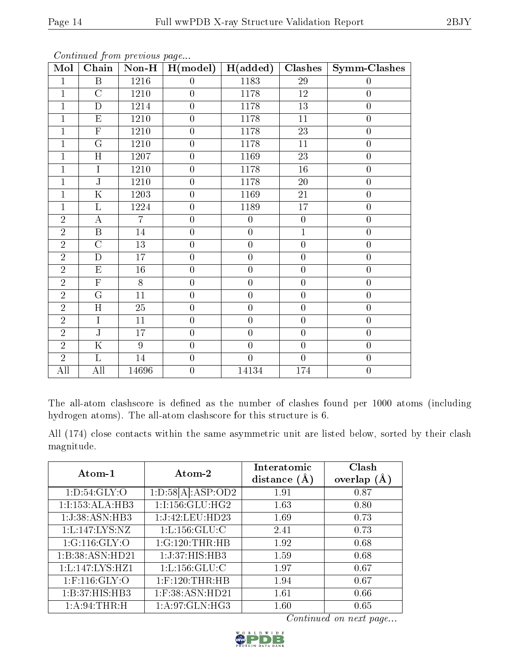| Mol            | Chain                   | $Non-H$         | H (model)        | H(added)         | Clashes          | $Symm$ -Clashes  |
|----------------|-------------------------|-----------------|------------------|------------------|------------------|------------------|
| $\mathbf{1}$   | $\, {\bf B}$            | 1216            | $\boldsymbol{0}$ | 1183             | $29\,$           | $\boldsymbol{0}$ |
| $\overline{1}$ | $\overline{C}$          | 1210            | $\overline{0}$   | 1178             | $12\,$           | $\boldsymbol{0}$ |
| $\overline{1}$ | $\mathbf D$             | 1214            | $\boldsymbol{0}$ | 1178             | 13               | $\boldsymbol{0}$ |
| $\mathbf 1$    | E                       | 1210            | $\overline{0}$   | 1178             | 11               | $\boldsymbol{0}$ |
| $\mathbf{1}$   | $\overline{\mathrm{F}}$ | 1210            | $\overline{0}$   | 1178             | 23               | $\boldsymbol{0}$ |
| 1              | G                       | 1210            | $\overline{0}$   | 1178             | 11               | $\boldsymbol{0}$ |
| $\mathbf{1}$   | H                       | 1207            | $\overline{0}$   | 1169             | 23               | $\boldsymbol{0}$ |
| $\mathbf{1}$   | $\overline{I}$          | 1210            | $\overline{0}$   | 1178             | $16\,$           | $\boldsymbol{0}$ |
| $\mathbf{1}$   | $\overline{\text{J}}$   | 1210            | $\boldsymbol{0}$ | 1178             | $20\,$           | $\boldsymbol{0}$ |
| $\mathbf{1}$   | $\overline{\mathrm{K}}$ | 1203            | $\boldsymbol{0}$ | 1169             | 21               | $\boldsymbol{0}$ |
| $\mathbf{1}$   | L                       | 1224            | $\overline{0}$   | 1189             | 17               | $\boldsymbol{0}$ |
| $\overline{2}$ | $\overline{A}$          | $\overline{7}$  | $\boldsymbol{0}$ | $\boldsymbol{0}$ | $\boldsymbol{0}$ | $\overline{0}$   |
| $\overline{2}$ | $\overline{B}$          | 14              | $\boldsymbol{0}$ | $\boldsymbol{0}$ | $\overline{1}$   | $\boldsymbol{0}$ |
| $\overline{2}$ | $\overline{\rm C}$      | 13              | $\overline{0}$   | $\overline{0}$   | $\boldsymbol{0}$ | $\boldsymbol{0}$ |
| $\overline{2}$ | $\overline{\rm D}$      | $\overline{17}$ | $\overline{0}$   | $\overline{0}$   | $\overline{0}$   | $\overline{0}$   |
| $\overline{2}$ | $\mathbf E$             | $16\,$          | $\boldsymbol{0}$ | $\boldsymbol{0}$ | $\boldsymbol{0}$ | $\boldsymbol{0}$ |
| $\overline{2}$ | $\overline{\mathrm{F}}$ | $\overline{8}$  | $\overline{0}$   | $\overline{0}$   | $\boldsymbol{0}$ | $\overline{0}$   |
| $\overline{2}$ | $\overline{G}$          | 11              | $\overline{0}$   | $\overline{0}$   | $\boldsymbol{0}$ | $\boldsymbol{0}$ |
| $\overline{2}$ | H                       | $\overline{25}$ | $\overline{0}$   | $\overline{0}$   | $\boldsymbol{0}$ | $\boldsymbol{0}$ |
| $\overline{2}$ | $\overline{I}$          | 11              | $\overline{0}$   | $\overline{0}$   | $\overline{0}$   | $\boldsymbol{0}$ |
| $\overline{2}$ | $\overline{\rm J}$      | 17              | $\overline{0}$   | $\overline{0}$   | $\overline{0}$   | $\boldsymbol{0}$ |
| $\overline{2}$ | $\overline{\mathrm{K}}$ | $\overline{9}$  | $\overline{0}$   | $\overline{0}$   | $\overline{0}$   | $\overline{0}$   |
| $\overline{2}$ | L                       | 14              | $\overline{0}$   | $\overline{0}$   | $\overline{0}$   | $\boldsymbol{0}$ |
| All            | All                     | 14696           | $\boldsymbol{0}$ | 14134            | 174              | $\boldsymbol{0}$ |

The all-atom clashscore is defined as the number of clashes found per 1000 atoms (including hydrogen atoms). The all-atom clashscore for this structure is 6.

All (174) close contacts within the same asymmetric unit are listed below, sorted by their clash magnitude.

| Atom-1              | Atom-2             | Interatomic<br>distance $(A)$ | Clash<br>overlap $(\AA)$ |
|---------------------|--------------------|-------------------------------|--------------------------|
| 1: D:54: GLY:O      | 1:D:58[A]:ASP:OD2  | 1.91                          | 0.87                     |
| 1:I:153:ALA:HB3     | 1:1:156:GLU:HG2    | 1.63                          | 0.80                     |
| 1:J:38:ASN:HB3      | 1:J:42:LEU:HD23    | 1.69                          | 0.73                     |
| 1:L:147:LYS:NZ      | 1: L: 156: GLU: C  | 2.41                          | 0.73                     |
| 1:G:116:GLY:O       | 1:G:120:THR:HB     | 1.92                          | 0.68                     |
| 1:B:38:ASN:HD21     | 1:J:37:HIS:HB3     | 1.59                          | 0.68                     |
| 1: L: 147: LYS: HZ1 | 1: L: 156: GLU: C  | 1.97                          | 0.67                     |
| $1:$ F:116:GLY:O    | $1:$ F:120:THR:HB  | 1.94                          | 0.67                     |
| 1:B:37:HIS:HB3      | $1:$ F:38:ASN:HD21 | 1.61                          | 0.66                     |
| 1: A:94:THR:H       | 1: A:97: GLN: HG3  | 1.60                          | 0.65                     |

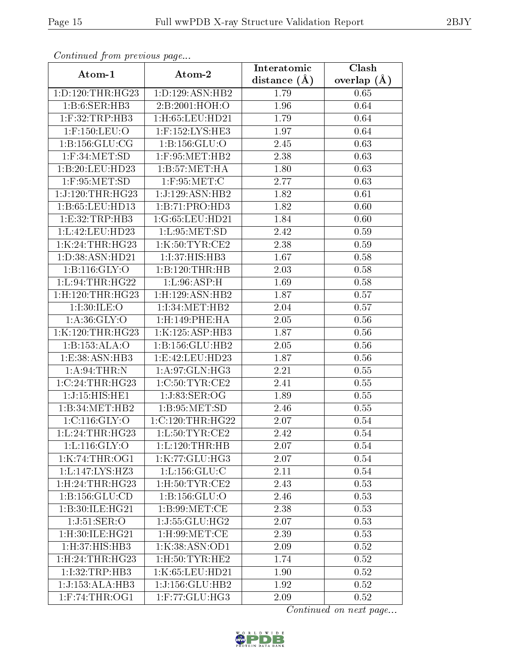| Continuea from previous page           |                               | Interatomic    | Clash         |
|----------------------------------------|-------------------------------|----------------|---------------|
| Atom-1                                 | Atom-2                        | distance $(A)$ | overlap $(A)$ |
| 1: D: 120: THR: HG23                   | 1:D:129:ASN:HB2               | 1.79           | 0.65          |
| 1: B:6: SER: HB3                       | 2:B:2001:HOH:O                | 1.96           | 0.64          |
| $1:$ F:32:TRP:HB3                      | $1:$ H:65:LEU:HD21            | 1.79           | 0.64          |
| 1:F:150:LEU:O                          | 1:F:152:LYS:HE3               | 1.97           | 0.64          |
| 1:B:156:GLU:CG                         | 1: B: 156: GLU: O             | 2.45           | 0.63          |
| $1:$ F:34:MET:SD                       | 1:F:95:MET:HB2                | 2.38           | 0.63          |
| 1:B:20:LEU:HD23                        | 1: B:57: MET:HA               | 1.80           | 0.63          |
| $1:$ F:95:MET:SD                       | $1:$ F:95:MET:C               | 2.77           | 0.63          |
| 1:J:120:THR:HG23                       | 1:J:129:ASN:HB2               | 1.82           | 0.61          |
| 1:B:65:LEU:HD13                        | 1:B:71:PRO:HD3                | 1.82           | 0.60          |
| 1:E:32:TRP:HB3                         | 1:G:65:LEU:HD21               | 1.84           | 0.60          |
| 1:L:42:LEU:HD23                        | 1: L:95: MET:SD               | 2.42           | 0.59          |
| 1:K:24:THR:HG23                        | 1:K:50:TYR:CE2                | 2.38           | 0.59          |
| 1:D:38:ASN:HD21                        | 1:1:37:HIS:HB3                | 1.67           | 0.58          |
| 1:B:116:GLY:O                          | 1:B:120:THR:HB                | 2.03           | 0.58          |
| 1: L:94:THR:HG22                       | 1: L:96: ASP:H                | 1.69           | 0.58          |
| 1:H:120:THR:HG23                       | $1:$ H $:129:$ ASN $:$ HB $2$ | 1.87           | 0.57          |
| 1:1:30:ILE:O                           | 1:I:34:MET:HB2                | 2.04           | 0.57          |
| 1: A:36: GLY:O                         | 1:H:149:PHE:HA                | 2.05           | 0.56          |
| 1:K:120:THR:HG23                       | 1:K:125:ASP:HB3               | 1.87           | 0.56          |
| 1:B:153:ALA:O                          | 1:B:156:GLU:HB2               | 2.05           | 0.56          |
| 1:E:38:ASN:HB3                         | 1:E:42:LEU:HD23               | 1.87           | 0.56          |
| 1: A:94:THR:N                          | 1:A:97:GLN:HG3                | 2.21           | 0.55          |
| 1:C:24:THR:HG23                        | 1:C:50:TYR:CE2                | 2.41           | 0.55          |
| 1:J:15:HIS:HE1                         | 1:J:83:SER:OG                 | 1.89           | 0.55          |
| 1:B:34:MET:HB2                         | 1: B: 95: MET: SD             | 2.46           | 0.55          |
| 1: C: 116: GLY: O                      | 1:C:120:THR:HG22              | 2.07           | 0.54          |
| 1: L: 24: THR:HG23                     | 1: L:50: TYR: CE2             | 2.42           | 0.54          |
| 1:Li116:GLY:O                          | 1: L: 120: THR: HB            | 2.07           | 0.54          |
| 1:K:74:THR:OG1                         | 1:K:77:GLU:HG3                | 2.07           | 0.54          |
| 1:L:147:LYS:HZ3                        | 1: L: 156: GLU: C             | 2.11           | 0.54          |
| 1:H:24:THR:HG23                        | $1:$ H $:50:$ TYR $:$ CE2     | 2.43           | 0.53          |
| 1: B: 156: GLU: CD                     | 1:B:156:GLU:O                 | 2.46           | 0.53          |
| 1:B:30:ILE:HG21                        | 1: B:99:MET:CE                | 2.38           | 0.53          |
| 1:J:51:SER:O                           | 1:J:55:GLU:HG2                | 2.07           | 0.53          |
| $1:$ H:30:ILE:HG21                     | $1:$ H $:99:$ MET $:$ CE      | 2.39           | 0.53          |
| 1: H:37: HIS: HB3                      | 1:K:38:ASN:OD1                | 2.09           | 0.52          |
| 1:H:24:THR:HG23                        | $1:$ H $:50:$ TYR:HE2         | 1.74           | 0.52          |
| 1:I:32:TRP:HB3                         | 1:K:65:LEU:HD21               | 1.90           | 0.52          |
| 1:J:153:ALA:HB3                        | 1:J:156:GLU:HB2               | 1.92           | 0.52          |
| $1:$ F:74:THR: $\overline{\text{OG1}}$ | $1:$ F:77:GLU:HG3             | 2.09           | 0.52          |

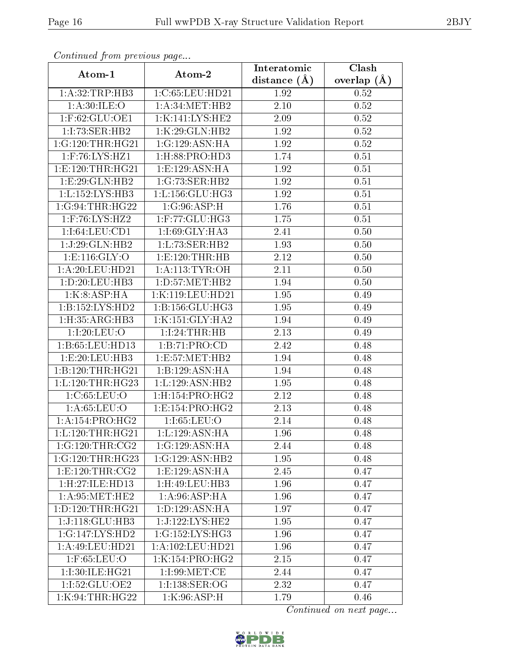| Continuatu jibin prototos pago |                                              | Interatomic       | Clash           |  |
|--------------------------------|----------------------------------------------|-------------------|-----------------|--|
| Atom-1                         | Atom-2                                       | distance $(A)$    | overlap $(\AA)$ |  |
| 1: A:32:TRP:HB3                | 1:C:65:LEU:HD21                              | 1.92              | 0.52            |  |
| 1: A:30: ILE:O                 | 1: A:34:MET:HB2                              | 2.10              | 0.52            |  |
| $1:$ F:62:GLU:OE1              | 1:K:141:LYS:HE2                              | $2.09\,$          | 0.52            |  |
| 1:1:73:SER:HB2                 | 1:K:29:GLN:HB2                               | 1.92              | 0.52            |  |
| 1:G:120:THR:HG21               | 1:G:129:ASN:HA                               | 1.92              | 0.52            |  |
| $1:$ F:76:LYS:HZ1              | 1: H:88: PRO:HD3                             | 1.74              | 0.51            |  |
| 1: E: 120: THR: HG21           | 1:E:129:ASN:HA                               | 1.92              | 0.51            |  |
| 1: E:29: GLN: HB2              | 1:G:73:SER:HB2                               | 1.92              | 0.51            |  |
| 1:L:152:LYS:HB3                | 1: L: 156: GLU: HG3                          | 1.92              | 0.51            |  |
| 1:G:94:THR:HG22                | 1:G:96:ASP:H                                 | 1.76              | 0.51            |  |
| 1:F:76:LYS:HZ2                 | 1:F:77:GLU:HG3                               | 1.75              | 0.51            |  |
| 1:1:64:LEU:CD1                 | 1:I:69:GLY:HA3                               | 2.41              | 0.50            |  |
| 1:J:29:GLN:HB2                 | 1:L:73:SER:HB2                               | 1.93              | 0.50            |  |
| 1: E: 116: GLY:O               | 1:E:120:THR:HB                               | 2.12              | 0.50            |  |
| 1:A:20:LEU:HD21                | 1: A:113: TYR:OH                             | 2.11              | 0.50            |  |
| 1: D: 20: LEU: HB3             | 1: D: 57: MET: HB2                           | 1.94              | 0.50            |  |
| 1:K:8:ASP:HA                   | 1:K:119:LEU:HD21                             | 1.95              | 0.49            |  |
| 1:B:152:LYS:HD2                | 1: B: 156: GLU: HG3                          | 1.95              | 0.49            |  |
| 1:H:35:ARG:HB3                 | 1:K:151:GLY:HA2                              | 1.94              | 0.49            |  |
| 1:1:20:LEU:O                   | 1:1:24:THR:HB                                | 2.13              | 0.49            |  |
| 1: B: 65: LEU: HD13            | 1:B:71:PRO:CD                                | 2.42              | 0.48            |  |
| 1:E:20:EU:HB3                  | 1: E: 57: MET: HB2                           | 1.94              | 0.48            |  |
| 1:B:120:THR:HG21               | 1:B:129:ASN:HA                               | $\overline{1.94}$ | 0.48            |  |
| 1: L: 120: THR: HG23           | 1: L: 129: ASN: HB2                          | 1.95              | 0.48            |  |
| 1: C:65:LEU:O                  | 1: H: 154: PRO:HG2                           | 2.12              | 0.48            |  |
| 1: A:65:LEU:O                  | $1: E: 154: PRO: \overline{HG2}$             | 2.13              | 0.48            |  |
| 1: A: 154: PRO:HG2             | 1:1:65:LEU:O                                 | 2.14              | 0.48            |  |
| 1: L: 120: THR: HG21           | 1: L: 129: ASN: HA                           | 1.96              | 0.48            |  |
| 1:G:120:THR:CG2                | 1:G:129:ASN:HA                               | 2.44              | 0.48            |  |
| 1:G:120:THR:HG23               | 1:G:129:ASN:HB2                              | 1.95              | 0.48            |  |
| 1: E: 120: THR: CG2            | $1: E: 129: \overline{\text{ASN:H}\text{A}}$ | 2.45              | 0.47            |  |
| 1:H:27:ILE:HD13                | 1:H:49:LEU:HB3                               | 1.96              | 0.47            |  |
| 1: A:95:MET:HE2                | 1: A:96: ASP: HA                             | 1.96              | 0.47            |  |
| 1: D: 120: THR: HG21           | 1:D:129:ASN:HA                               | 1.97              | 0.47            |  |
| 1:J:118:GLU:HB3                | 1:J:122:LYS:HE2                              | 1.95              | 0.47            |  |
| 1:G:147:LYS:HD2                | 1:G:152:LYS:HG3                              | 1.96              | 0.47            |  |
| 1: A:49: LEU: HD21             | 1:A:102:LEU:HD21                             | 1.96              | 0.47            |  |
| $1:$ F:65:LEU:O                | 1:K:154:PRO:HG2                              | 2.15              | 0.47            |  |
| 1:I:30:ILE:HG21                | 1:1:99:MET:CE                                | 2.44              | 0.47            |  |
| 1:I:52:GLU:OE2                 | 1:I:138:SER:OG                               | 2.32              | 0.47            |  |
| 1:K:94:THR:HG22                | 1:K:96:ASP:H                                 | 1.79              | 0.46            |  |

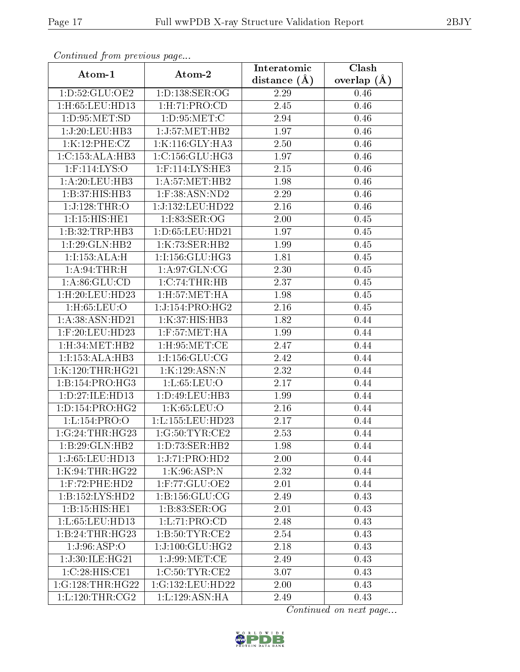| Continuation providus page       |                                              | Interatomic       | Clash         |
|----------------------------------|----------------------------------------------|-------------------|---------------|
| Atom-1                           | Atom-2                                       | distance $(A)$    | overlap $(A)$ |
| 1: D: 52: GLU: OE2               | 1: D: 138: SER: OG                           | 2.29              | 0.46          |
| 1:H:65:LEU:HD13                  | 1: H: 71: PRO: CD                            | 2.45              | 0.46          |
| 1: D: 95: MET: SD                | 1: D:95:MET:C                                | 2.94              | 0.46          |
| 1:J:20:LEU:HB3                   | 1:J:57:MET:HB2                               | 1.97              | 0.46          |
| 1:K:12:PHE:CZ                    | 1:K:116:GLY:HA3                              | 2.50              | 0.46          |
| 1:C:153:ALA:HB3                  | $1:\mathrm{C}:156:\mathrm{GLU}:\mathrm{HG3}$ | 1.97              | 0.46          |
| 1:F:114:LYS:O                    | 1:F:114:LYS:HE3                              | $\overline{2.15}$ | 0.46          |
| 1:A:20:LEU:HB3                   | 1: A:57: MET:HB2                             | 1.98              | 0.46          |
| 1:B:37:HIS:HB3                   | 1:F:38:ASN:ND2                               | 2.29              | 0.46          |
| 1:J:128:THR:O                    | 1:J:132:LEU:HD22                             | 2.16              | 0.46          |
| 1:I:15:HIS:HE1                   | 1:I:83:SER:OG                                | 2.00              | 0.45          |
| 1:B:32:TRP:HB3                   | 1: D:65: LEU:HD21                            | 1.97              | 0.45          |
| 1:1:29:GLN:HB2                   | 1:K:73:SER:HB2                               | 1.99              | 0.45          |
| 1:1:153:ALA:H                    | 1:I:156:GLU:HG3                              | 1.81              | 0.45          |
| 1: A:94:THR:H                    | 1: A:97: GLN: CG                             | 2.30              | 0.45          |
| 1: A:86: GLU:CD                  | 1:C:74:THR:HB                                | 2.37              | 0.45          |
| $1:$ H $:20:$ LEU $:$ HD $23$    | $1:$ H $:57:$ MET $:$ HA                     | 1.98              | 0.45          |
| $1:$ H:65:LEU: $O$               | 1:J:154:PRO:HG2                              | 2.16              | 0.45          |
| 1: A:38: ASN:HD21                | 1:K:37:HIS:HB3                               | 1.82              | 0.44          |
| $1:$ F:20:LEU:HD23               | $1:$ F:57:MET:HA                             | 1.99              | 0.44          |
| 1:H:34:MET:HB2                   | $1:$ H $:95:$ MET $:$ CE                     | 2.47              | 0.44          |
| 1:I:153:ALA:HB3                  | 1:1:156:GLU:CG                               | 2.42              | 0.44          |
| 1:K:120:THR:HG21                 | 1:K:129:ASN:N                                | 2.32              | 0.44          |
| 1:B:154:PRO:HG3                  | 1: L:65:LEU:O                                | 2.17              | 0.44          |
| 1:D:27:ILE:HD13                  | 1:D:49:LEU:HB3                               | 1.99              | 0.44          |
| 1: D: 154: PRO:HG2               | 1:K:65:LEU:O                                 | 2.16              | 0.44          |
| 1: L: 154: PRO: O                | 1:L:155:LEU:HD23                             | 2.17              | 0.44          |
| 1:G:24:THR:HG23                  | 1:G:50:TYR:CE2                               | 2.53              | 0.44          |
| 1:B:29:GLN:HB2                   | 1: D: 73: SER: HB2                           | 1.98              | 0.44          |
| 1:J:65:LEU:HD13                  | 1:J:71:PRO:HD2                               | 2.00              | 0.44          |
| 1:K:94:THR:HG22                  | 1:K:96:ASP:N                                 | 2.32              | 0.44          |
| 1:F:72:PHE:HD2                   | 1:F:77:GLU:OE2                               | 2.01              | 0.44          |
| 1:B:152:LYS:HD2                  | 1: B: 156: GLU: CG                           | 2.49              | 0.43          |
| 1:B:15:HIS:HE1                   | 1: B: 83: SER: OG                            | 2.01              | 0.43          |
| 1:L:65:LEU:HD13                  | 1: L: 71: PRO: CD                            | 2.48              | 0.43          |
| 1:B:24:THR:HG23                  | $1: B: 50: T\overline{YR:CE2}$               | 2.54              | 0.43          |
| 1:J:96:ASP:O                     | 1:J:100:GLU:HG2                              | 2.18              | 0.43          |
| 1:J:30:ILE:HG21                  | 1:J:99:MET:CE                                | 2.49              | 0.43          |
| 1:C:28:HIS:CE1                   | 1:C:50:TYR:CE2                               | 3.07              | 0.43          |
| 1:G:128:THR:HG22                 | 1:G:132:LEU:HD22                             | 2.00              | 0.43          |
| $1: L: 120: THR: \overline{CG2}$ | 1: L: 129: ASN: HA                           | 2.49              | 0.43          |

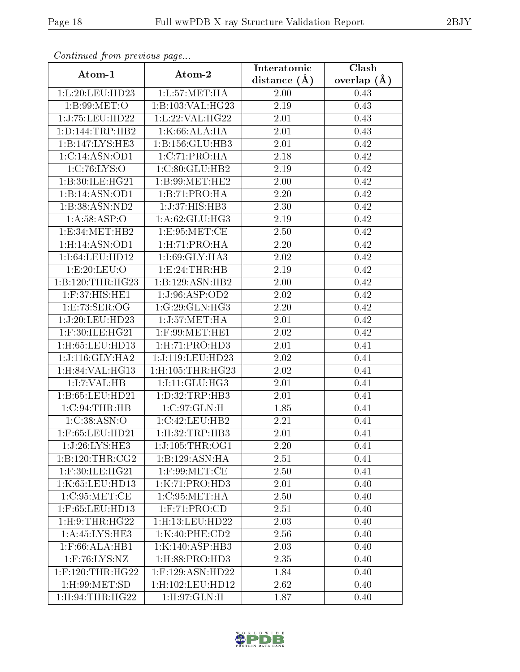| Continued from previous page     |                                          | Interatomic       | Clash         |
|----------------------------------|------------------------------------------|-------------------|---------------|
| Atom-1                           | Atom-2                                   | distance $(A)$    | overlap $(A)$ |
| 1:L:20:LEU:HD23                  | 1: L: 57: MET: HA                        | 2.00              | 0.43          |
| 1:B:99:MET:O                     | 1:B:103:VAL:HG23                         | 2.19              | 0.43          |
| 1:J:75:LEU:HD22                  | 1:L:22:VAL:HG22                          | 2.01              | 0.43          |
| 1: D: 144: TRP: HB2              | 1:K:66:ALA:HA                            | 2.01              | 0.43          |
| 1:B:147:LYS:HE3                  | 1:B:156:GLU:HB3                          | 2.01              | 0.42          |
| 1:C:14:ASN:OD1                   | 1:C:71:PRO:HA                            | 2.18              | 0.42          |
| 1:C:76:LYS:O                     | 1:C:80:GLU:HB2                           | 2.19              | 0.42          |
| 1:B:30:ILE:HG21                  | 1:B:99:MET:HE2                           | 2.00              | 0.42          |
| 1:B:14:ASN:OD1                   | 1:B:71:PRO:HA                            | <b>2.20</b>       | 0.42          |
| 1:B:38:ASN:ND2                   | 1:J:37:HIS:HB3                           | 2.30              | 0.42          |
| 1: A:58:ASP:O                    | 1: A:62: GLU:HG3                         | 2.19              | 0.42          |
| 1:E:34:MET:HB2                   | 1:E:95:MET:CE                            | 2.50              | 0.42          |
| $1:$ H:14: $\overline{ASN:}$ OD1 | 1: H: 71: PRO:HA                         | 2.20              | 0.42          |
| 1:1:64:LEU:HD12                  | 1:I:69:GLY:HA3                           | 2.02              | 0.42          |
| 1:E:20:LEU:O                     | 1:E:24:THR:HB                            | 2.19              | 0.42          |
| 1:B:120:THR:HG23                 | 1:B:129:ASN:HB2                          | 2.00              | 0.42          |
| 1:F:37:HIS:HE1                   | 1:J:96:ASP:OD2                           | 2.02              | 0.42          |
| 1: E: 73: SER: OG                | 1:G:29:GLN:HG3                           | 2.20              | 0.42          |
| 1:J:20:LEU:HD23                  | 1:J:57:MET:HA                            | 2.01              | 0.42          |
| $1:$ F:30:ILE:HG21               | $1:$ F:99:MET:HE1                        | 2.02              | 0.42          |
| 1:H:65:LEU:HD13                  | 1: H: 71: PRO: HD3                       | 2.01              | 0.41          |
| 1:J:116:GLY:HA2                  | 1:J:119:LEU:HD23                         | 2.02              | 0.41          |
| 1:H:84:VAL:HG13                  | $1:$ H: $105:$ THR:HG23                  | 2.02              | 0.41          |
| 1:I:7:VAL:HB                     | 1:I:11:GLU:HG3                           | $\overline{2.01}$ | 0.41          |
| 1:B:65:LEU:HD21                  | 1:D:32:TRP:HB3                           | 2.01              | 0.41          |
| $1:C:94$ : THR: HB               | $1:C:97:\overline{\text{GLN:H}}$         | 1.85              | 0.41          |
| 1:C:38:ASN:O                     | 1:C:42:LEU:HB2                           | 2.21              | 0.41          |
| $1:$ F:65:LEU:HD21               | 1: H:32: TRP: HB3                        | 2.01              | 0.41          |
| 1:J:26:LYS:HE3                   | 1:J:105:THR:OG1                          | 2.20              | 0.41          |
| 1:B:120:THR:CG2                  | 1:B:129:ASN:HA                           | 2.51              | 0.41          |
| $1:$ F:30:ILE:HG21               | $1:$ F:99:MET:CE                         | 2.50              | 0.41          |
| 1:K:65:LEU:HD13                  | 1:K:71:PRO:HD3                           | 2.01              | 0.40          |
| 1:C:95:MET:CE                    | $1:C:95:\overline{\text{MET:H}\text{A}}$ | 2.50              | 0.40          |
| 1:F:65:LEU:HD13                  | 1: F: 71: PRO: CD                        | 2.51              | 0.40          |
| $1:$ H $:9:$ THR $:$ H $G22$     | 1:H:13:LEU:HD22                          | 2.03              | 0.40          |
| 1: A: 45: LYS: HE3               | 1:K:40:PHE:CD2                           | 2.56              | 0.40          |
| $1:$ F:66:ALA:HB1                | 1:K:140:ASP:HB3                          | 2.03              | 0.40          |
| $1:$ F:76:LYS:NZ                 | 1:H:88:PRO:HD3                           | 2.35              | 0.40          |
| $1:$ F:120:THR:HG22              | $1:$ F:129:ASN:HD22                      | 1.84              | 0.40          |
| 1: H:99: MET:SD                  | $1:$ H $:102:$ LEU $:$ HD $12$           | 2.62              | 0.40          |
| 1: H:94: THR: HG22               | 1: H:97: GLN:H                           | 1.87              | 0.40          |

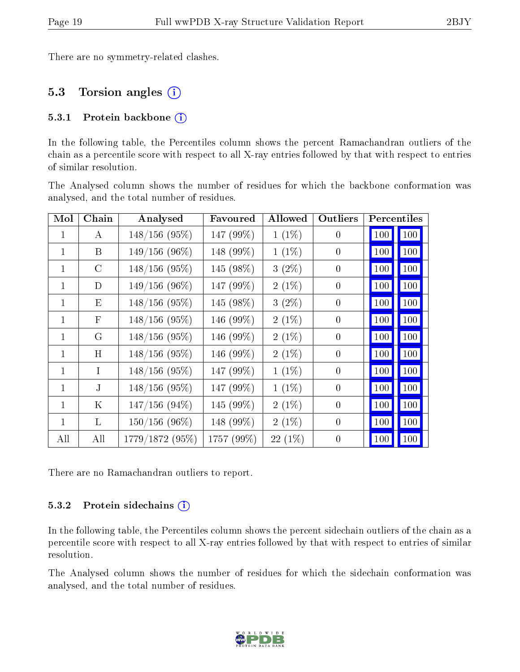There are no symmetry-related clashes.

### 5.3 Torsion angles (i)

#### 5.3.1 Protein backbone  $(i)$

In the following table, the Percentiles column shows the percent Ramachandran outliers of the chain as a percentile score with respect to all X-ray entries followed by that with respect to entries of similar resolution.

The Analysed column shows the number of residues for which the backbone conformation was analysed, and the total number of residues.

| Mol          | Chain         | Analysed         | Favoured   | Allowed  | Outliers         |                     | Percentiles |
|--------------|---------------|------------------|------------|----------|------------------|---------------------|-------------|
| $\mathbf{1}$ | A             | $148/156$ (95%)  | 147 (99%)  | $1(1\%)$ | $\overline{0}$   | 100                 | 100         |
| $\mathbf{1}$ | B             | $149/156(96\%)$  | 148 (99%)  | $1(1\%)$ | $\theta$         | 100                 | 100         |
| $\mathbf{1}$ | $\mathcal{C}$ | $148/156$ (95%)  | 145 (98%)  | $3(2\%)$ | $\theta$         | 100                 | 100         |
| $\mathbf{1}$ | D             | $149/156(96\%)$  | 147 (99%)  | $2(1\%)$ | $\boldsymbol{0}$ | 100                 | 100         |
| $\mathbf{1}$ | E             | $148/156$ (95%)  | 145 (98%)  | $3(2\%)$ | $\overline{0}$   | <b>100</b>          | 100         |
| $\mathbf{1}$ | F             | $148/156$ (95%)  | 146 (99%)  | $2(1\%)$ | $\overline{0}$   | 100                 | 100         |
| 1            | G             | $148/156$ (95%)  | 146 (99%)  | $2(1\%)$ | $\theta$         | <b>100</b>          | 100         |
| $\mathbf{1}$ | H             | $148/156(95\%)$  | 146 (99%)  | $2(1\%)$ | $\overline{0}$   | <b>100</b>          | 100         |
| $\mathbf{1}$ | L             | $148/156$ (95%)  | 147 (99%)  | $1(1\%)$ | $\theta$         | <b>100</b>          | 100         |
| $\mathbf{1}$ | J             | $148/156$ (95%)  | 147 (99%)  | $1(1\%)$ | $\overline{0}$   | 100                 | 100         |
| 1            | K             | $147/156$ (94%)  | 145 (99%)  | $2(1\%)$ | $\theta$         | 100                 | 100         |
| $\mathbf{1}$ | L             | $150/156$ (96\%) | 148 (99%)  | $2(1\%)$ | $\overline{0}$   | <b>100</b>          | 100         |
| All          | All           | 1779/1872 (95%)  | 1757 (99%) | 22 (1%)  | $\theta$         | $\vert$ 100 $\vert$ | 100         |

There are no Ramachandran outliers to report.

#### 5.3.2 Protein sidechains  $(i)$

In the following table, the Percentiles column shows the percent sidechain outliers of the chain as a percentile score with respect to all X-ray entries followed by that with respect to entries of similar resolution.

The Analysed column shows the number of residues for which the sidechain conformation was analysed, and the total number of residues.

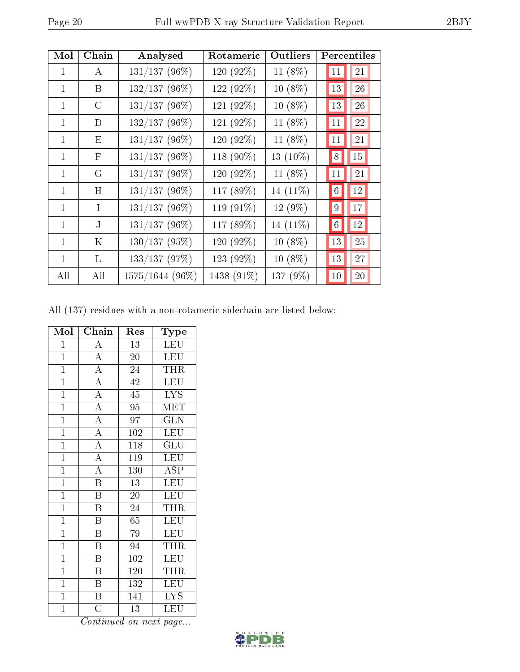| Mol          | Chain        | Analysed        | Rotameric  | Outliers  |                 | Percentiles |
|--------------|--------------|-----------------|------------|-----------|-----------------|-------------|
| 1            | A            | $131/137(96\%)$ | 120 (92%)  | 11 (8%)   | 11              | 21          |
| $\mathbf{1}$ | B            | 132/137 (96%)   | 122 (92%)  | $10(8\%)$ | 13              | 26          |
| 1            | C            | 131/137 (96%)   | 121 (92%)  | $10(8\%)$ | 13              | 26          |
| 1            | D            | 132/137 (96%)   | 121 (92%)  | 11 (8%)   | 11              | 22          |
| $\mathbf{1}$ | Ε            | 131/137 (96%)   | 120 (92%)  | 11 (8%)   | 11              | 21          |
| $\mathbf{1}$ | $\mathbf{F}$ | $131/137(96\%)$ | 118 (90%)  | 13 (10%)  | 8               | 15          |
| $\mathbf{1}$ | G            | $131/137(96\%)$ | 120 (92%)  | 11 (8%)   | 11              | 21          |
| 1            | H            | 131/137 (96%)   | 117 (89%)  | 14 (11%)  | $6\phantom{.}6$ | 12          |
| $\mathbf{1}$ | $\mathbf I$  | $131/137(96\%)$ | 119 (91%)  | 12 (9%)   | 9               | 17          |
| $\mathbf{1}$ | $_{\rm J}$   | $131/137(96\%)$ | 117 (89%)  | 14 (11%)  | $6\phantom{.}6$ | $12\,$      |
| 1            | Κ            | 130/137 (95%)   | 120 (92%)  | 10 (8%)   | 13              | 25          |
| $\mathbf{1}$ | L            | 133/137(97%)    | 123 (92%)  | $10(8\%)$ | 13              | 27          |
| All          | All          | 1575/1644 (96%) | 1438 (91%) | 137 (9%)  | 10              | 20          |

All (137) residues with a non-rotameric sidechain are listed below:

| Mol            | Chain                               | Res              | <b>Type</b>                         |
|----------------|-------------------------------------|------------------|-------------------------------------|
| $\mathbf 1$    | $\overline{\rm A}$                  | $\overline{13}$  | <b>LEU</b>                          |
| $\overline{1}$ | $\overline{A}$                      | 20               | LEU                                 |
| $\mathbf{1}$   | $\frac{\overline{A}}{\overline{A}}$ | 24               | <b>THR</b>                          |
| $\mathbf{1}$   |                                     | 42               | <b>LEU</b>                          |
| $\mathbf{1}$   | $\overline{A}$                      | 45               | $\overline{\text{LYS}}$             |
| $\overline{1}$ | $\frac{\overline{A}}{\overline{A}}$ | $\overline{95}$  | <b>MET</b>                          |
| $\overline{1}$ |                                     | 97               | <b>GLN</b>                          |
| $\overline{1}$ | $\frac{\overline{A}}{\overline{A}}$ | $\overline{102}$ | LEU                                 |
| $\mathbf{1}$   |                                     | 118              | $\mathrm{GL} \overline{\mathrm{U}}$ |
| $\overline{1}$ | $\overline{A}$                      | $\overline{119}$ | LEU                                 |
| $\overline{1}$ | $\overline{A}$                      | 130              | <b>ASP</b>                          |
| $\mathbf{1}$   | $\overline{\mathrm{B}}$             | 13               | <b>LEU</b>                          |
| $\overline{1}$ | $\overline{\mathrm{B}}$             | 20               | LEU                                 |
| $\mathbf{1}$   | $\overline{\mathrm{B}}$             | 24               | <b>THR</b>                          |
| $\overline{1}$ | $\overline{\mathrm{B}}$             | $\overline{65}$  | LEU                                 |
| $\mathbf{1}$   | $\overline{\mathrm{B}}$             | 79               | <b>LEU</b>                          |
| $\mathbf{1}$   | $\boldsymbol{\mathrm{B}}$           | 94               | THR                                 |
| $\mathbf{1}$   | $\overline{\mathrm{B}}$             | 102              | <b>LEU</b>                          |
| $\mathbf{1}$   | $\overline{\rm B}$                  | 120              | <b>THR</b>                          |
| $\mathbf{1}$   | $\overline{\mathrm{B}}$             | 132              | <b>LEU</b>                          |
| $\mathbf{1}$   | $\overline{\mathbf{B}}$             | 141              | <b>LYS</b>                          |
| $\mathbf 1$    | $\overline{\rm C}$                  | $\overline{13}$  | LEU                                 |

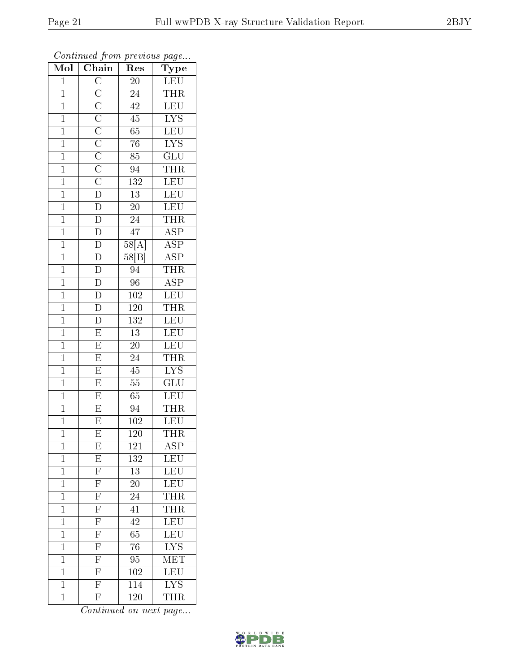| Mol            | $\sum_{i=1}^{n} a_i$<br>Chain                                                                                                                              | Res              | $r \sim \mathcal{I}$<br>Type |
|----------------|------------------------------------------------------------------------------------------------------------------------------------------------------------|------------------|------------------------------|
| $\mathbf 1$    |                                                                                                                                                            | 20               | LEU                          |
| $\overline{1}$ |                                                                                                                                                            | 24               | <b>THR</b>                   |
| $\overline{1}$ |                                                                                                                                                            | 42               | LEU                          |
| $\mathbf{1}$   |                                                                                                                                                            | $\rm 45$         | $\overline{\text{LYS}}$      |
| $\overline{1}$ | $\overline{C}\ \overline{C}\ \overline{C}\ \overline{C}\ \overline{C}\ \overline{C}\ \overline{C}\ \overline{C}\ \overline{C}\ \overline{C}\ \overline{D}$ | $\overline{65}$  | LEU                          |
| $\mathbf{1}$   |                                                                                                                                                            | $\overline{76}$  | <b>LYS</b>                   |
| $\overline{1}$ |                                                                                                                                                            | $\overline{85}$  | GLU                          |
| $\overline{1}$ |                                                                                                                                                            | $\overline{94}$  | <b>THR</b>                   |
| $\overline{1}$ |                                                                                                                                                            | $\overline{132}$ | $\overline{\textrm{LEU}}$    |
| $\overline{1}$ |                                                                                                                                                            | $\overline{13}$  | LEU                          |
| $\overline{1}$ | $\overline{D}$                                                                                                                                             | $20\,$           | $\overline{\text{LEU}}$      |
| $\overline{1}$ | $\overline{D}$                                                                                                                                             | $\overline{24}$  | <b>THR</b>                   |
| $\mathbf{1}$   | $\overline{D}$                                                                                                                                             | $\overline{47}$  | <b>ASP</b>                   |
| $\mathbf{1}$   | $\overline{D}$                                                                                                                                             | 58[A]            | <b>ASP</b>                   |
| $\overline{1}$ | $\frac{\overline{D}}{D}$                                                                                                                                   | 58[B]            | $\overline{\text{ASP}}$      |
| $\mathbf{1}$   |                                                                                                                                                            | 94               | <b>THR</b>                   |
| $\overline{1}$ | $\frac{\overline{D}}{\overline{D}}$                                                                                                                        | $\overline{96}$  | $\overline{\text{ASP}}$      |
| $\mathbf{1}$   |                                                                                                                                                            | 102              | LEU                          |
| $\mathbf{1}$   | $\overline{D}$                                                                                                                                             | 120              | $\overline{\text{THR}}$      |
| $\mathbf{1}$   | $\overline{D}$                                                                                                                                             | 132              | <b>LEU</b>                   |
| $\overline{1}$ | $\overline{E}$                                                                                                                                             | $\overline{13}$  | LEU                          |
| $\overline{1}$ | $\overline{E}$                                                                                                                                             | $\overline{20}$  | LEU                          |
| $\mathbf{1}$   | $\overline{\mathrm{E}}$                                                                                                                                    | 24               | $T\overline{\text{HR}}$      |
| $\overline{1}$ | $\overline{\mathrm{E}}$                                                                                                                                    | 45               | $\overline{\text{LYS}}$      |
| $\mathbf{1}$   | $\overline{\mathrm{E}}$                                                                                                                                    | $\overline{55}$  | $\overline{GLU}$             |
| $\overline{1}$ | $\overline{\mathrm{E}}$                                                                                                                                    | 65               | LEU                          |
| $\overline{1}$ | $\overline{\mathrm{E}}$                                                                                                                                    | 94               | THR                          |
| $\overline{1}$ | $\overline{\mathrm{E}}$                                                                                                                                    | 102              | <b>LEU</b>                   |
| $\overline{1}$ | $\overline{\mathrm{E}}$                                                                                                                                    | $\overline{120}$ | THR                          |
| 1              | $\boldsymbol{\mathrm{E}}$                                                                                                                                  | 121              | ASP                          |
| $\mathbf 1$    | $\overline{E}$                                                                                                                                             | 132              | LEU                          |
| $\mathbf{1}$   | $\overline{\mathrm{F}}$                                                                                                                                    | $\overline{13}$  | <b>LEU</b>                   |
| $\mathbf{1}$   | $\frac{\overline{F}}{\overline{F}}$                                                                                                                        | <b>20</b>        | LEU                          |
| $\overline{1}$ |                                                                                                                                                            | $\overline{24}$  | THR <sub>_</sub>             |
| $\mathbf{1}$   | $\frac{\overline{F}}{\overline{F}}$                                                                                                                        | 41               | THR                          |
| $\overline{1}$ |                                                                                                                                                            | $\overline{42}$  | LEU                          |
| $\mathbf{1}$   | $\overline{F}$                                                                                                                                             | 65               | $\overline{\text{LEU}}$      |
| $\mathbf{1}$   | $\overline{F}$                                                                                                                                             | 76               | <b>LYS</b>                   |
| $\mathbf 1$    | $\frac{\overline{F}}{\overline{F}}$                                                                                                                        | 95               | $\overline{\text{MET}}$      |
| $\mathbf{1}$   |                                                                                                                                                            | 102              | LEU                          |
| $\mathbf 1$    |                                                                                                                                                            | $\overline{114}$ | $\overline{\text{LYS}}$      |
| $\mathbf 1$    | $\overline{\mathrm{F}}$                                                                                                                                    | 120              | THR                          |

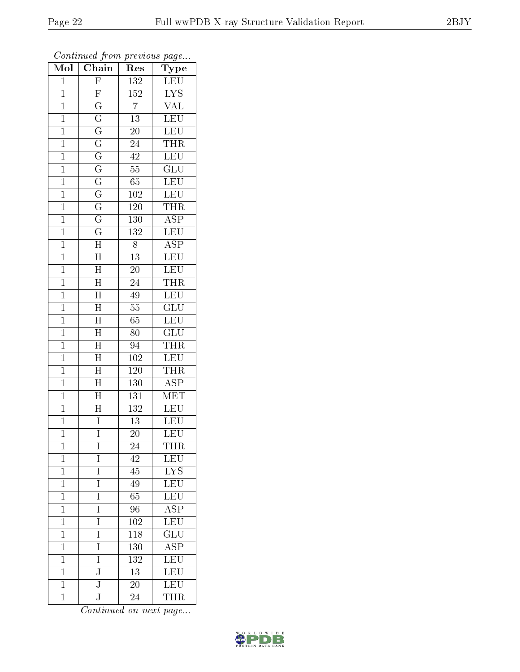| $\overline{\text{Mol}}$ | $\cdots$ $\cdots$<br>Chain | x.<br>Res        | $\mathbf{r}$ $\mathbf{v}$<br>Type |
|-------------------------|----------------------------|------------------|-----------------------------------|
| $\mathbf 1$             | $\overline{F}$             | 132              | $\operatorname{LEU}$              |
| $\mathbf{1}$            | $\overline{F}$             | $\overline{152}$ | I <sub>YS</sub>                   |
| $\overline{1}$          | $\overline{\mathrm{G}}$    | $\overline{7}$   | $\overline{\text{VAL}}$           |
| $\mathbf 1$             | $\overline{\mathrm{G}}$    | $\overline{13}$  | <b>LEU</b>                        |
| $\overline{1}$          | $\overline{\mathrm{G}}$    | $\overline{20}$  | <b>LEU</b>                        |
| $\mathbf 1$             | $\overline{\mathrm{G}}$    | $\overline{24}$  | THR                               |
| $\overline{1}$          | $\overline{\mathrm{G}}$    | 42               | LEU                               |
| $\mathbf{1}$            | $\overline{\mathrm{G}}$    | $\overline{55}$  | $\overline{\text{GLU}}$           |
| $\overline{1}$          | $\overline{\mathrm{G}}$    | 65               | LEU                               |
| $\mathbf{1}$            | $\overline{\mathrm{G}}$    | 102              | LEU                               |
| $\mathbf{1}$            | $\overline{G}$             | $120\,$          | <b>THR</b>                        |
| $\mathbf{1}$            | $\overline{\mathrm{G}}$    | 130              | <b>ASP</b>                        |
| $\mathbf{1}$            | $\overline{\mathrm{G}}$    | $\overline{132}$ | LEU                               |
| $\mathbf{1}$            | $\overline{\rm H}$         | 8                | $\overline{\text{ASP}}$           |
| $\overline{1}$          | $\overline{\text{H}}$      | $\overline{13}$  | <b>LEU</b>                        |
| $\mathbf{1}$            | $\overline{\rm H}$         | $20\,$           | LEU                               |
| $\mathbf{1}$            | $\overline{\rm H}$         | $\overline{24}$  | <b>THR</b>                        |
| $\mathbf{1}$            | $\overline{\rm H}$         | $\overline{49}$  | <b>LEU</b>                        |
| $\overline{1}$          | $\overline{H}$             | $\overline{55}$  | $\overline{\text{GLU}}$           |
| $\mathbf{1}$            | $\overline{H}$             | $65\,$           | <b>LEU</b>                        |
| $\mathbf{1}$            | $\overline{\rm H}$         | 80               | GLU                               |
| $\overline{1}$          | $\overline{\rm H}$         | 94               | <b>THR</b>                        |
| $\mathbf 1$             | $\overline{\rm H}$         | $10\overline{2}$ | <b>LEU</b>                        |
| $\overline{1}$          | $\overline{\rm H}$         | 120              | THR                               |
| $\overline{1}$          | $\overline{\rm H}$         | 130              | <b>ASP</b>                        |
| $\mathbf{1}$            | $\overline{\rm H}$         | 131              | $\overline{\text{MET}}$           |
| $\mathbf 1$             | $\overline{\rm H}$         | $\overline{132}$ | <b>LEU</b>                        |
| $\overline{1}$          | $\overline{I}$             | $\overline{13}$  | <b>LEU</b>                        |
| $\overline{1}$          | $\overline{I}$             | $\overline{20}$  | $\overline{\text{LEU}}$           |
| 1                       | Ι                          | 24               | THR                               |
| $\mathbf{1}$            | $\mathbf I$                | 42               | LEU                               |
| $\mathbf{1}$            | $\overline{I}$             | $\overline{45}$  | <b>LYS</b>                        |
| $\mathbf{1}$            | I                          | 49               | LEU                               |
| $\overline{1}$          | Ī                          | $\overline{65}$  | $\overline{\text{LEU}}$           |
| $\mathbf{1}$            | I                          | 96               | $\overline{\text{ASP}}$           |
| $\mathbf 1$             | Ī                          | $\overline{102}$ | LEU                               |
| $\mathbf 1$             | I                          | 118              | $\overline{\text{GLU}}$           |
| $\overline{1}$          | I                          | 130              | $\overline{\text{ASP}}$           |
| $\mathbf{1}$            | I                          | 132              | LEU <sup>-</sup>                  |
| $\mathbf{1}$            | $\overline{\text{J}}$      | $\overline{13}$  | LEU                               |
| $\mathbf 1$             | $\overline{\text{J}}$      | 20               | LEU                               |
| $\mathbf{1}$            | $\overline{\text{J}}$      | 24               | <b>THR</b>                        |

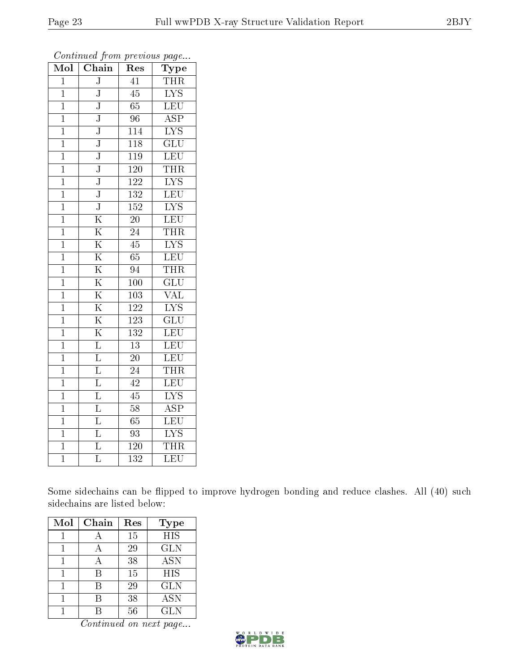| $\overline{\text{Mol}}$ | $\overline{\text{Chain}}$ | Res              | $\overline{\mathrm{Type}}$ |
|-------------------------|---------------------------|------------------|----------------------------|
| $\overline{1}$          | $\overline{\text{J}}$     | $\overline{41}$  | THR                        |
| $\mathbf{1}$            | J                         | 45               | $\overline{\text{LYS}}$    |
| $\mathbf{1}$            | $\overline{\text{J}}$     | 65               | LEU                        |
| $\overline{1}$          | $\overline{\text{J}}$     | 96               | $\overline{\text{ASP}}$    |
| $\mathbf{1}$            | $\overline{\text{J}}$     | $\overline{114}$ | $\overline{\text{LYS}}$    |
| $\overline{1}$          | $\overline{\text{J}}$     | 118              | $\overline{{\rm GLU}}$     |
| $\overline{1}$          | $\overline{\text{J}}$     | $\overline{119}$ | LEU                        |
| $\mathbf{1}$            | $\overline{\text{J}}$     | $\overline{120}$ | <b>THR</b>                 |
| $\mathbf{1}$            | ${\bf J}$                 | 122              | $\overline{\text{LYS}}$    |
| $\overline{1}$          | $\overline{\text{J}}$     | $\overline{132}$ | $\overline{\text{LEU}}$    |
| $\overline{1}$          | $\overline{\text{J}}$     | 152              | $\overline{\text{LYS}}$    |
| $\mathbf{1}$            | $\overline{\rm K}$        | $\overline{20}$  | $\overline{\text{LEU}}$    |
| $\overline{1}$          | $\overline{\mathrm{K}}$   | $\overline{24}$  | <b>THR</b>                 |
| $\mathbf{1}$            | $\overline{\mathrm{K}}$   | $\overline{45}$  | $\overline{\text{LYS}}$    |
| $\overline{1}$          | $\overline{\mathrm{K}}$   | $\overline{65}$  | LEU                        |
| $\overline{1}$          | $\overline{\mathrm{K}}$   | 94               | <b>THR</b>                 |
| $\overline{1}$          | $\overline{\mathrm{K}}$   | $\overline{100}$ | $\overline{\mathrm{GLU}}$  |
| $\mathbf{1}$            | $\overline{\mathrm{K}}$   | 103              | <b>VAL</b>                 |
| $\mathbf{1}$            | $\overline{\mathrm{K}}$   | 122              | $\overline{\text{LYS}}$    |
| $\mathbf{1}$            | $\overline{\mathrm{K}}$   | $\overline{123}$ | $\overline{\text{GLU}}$    |
| $\mathbf 1$             | $\overline{\mathrm{K}}$   | 132              | $\overline{\text{LEU}}$    |
| $\overline{1}$          | $\overline{\mathrm{L}}$   | $\overline{13}$  | $\overline{\text{LEU}}$    |
| $\mathbf{1}$            | $\overline{\mathrm{L}}$   | $\overline{20}$  | $\overline{\text{LEU}}$    |
| $\overline{1}$          | $\overline{\mathrm{L}}$   | $\overline{24}$  | <b>THR</b>                 |
| $\overline{1}$          | $\overline{\mathrm{L}}$   | 42               | $\overline{\text{LEU}}$    |
| $\mathbf{1}$            | $\overline{\mathrm{L}}$   | 45               | $\overline{\text{LYS}}$    |
| $\mathbf{1}$            | $\overline{\mathrm{L}}$   | $\overline{58}$  | $\overline{\text{ASP}}$    |
| $\overline{1}$          | $\overline{\mathrm{L}}$   | $\overline{65}$  | $\overline{\text{LEU}}$    |
| $\mathbf{1}$            | $\overline{\mathrm{L}}$   | $\overline{93}$  | <b>LYS</b>                 |
| $\mathbf{1}$            | $\overline{\text{L}}$     | 120              | <b>THR</b>                 |
| $\overline{1}$          | $\overline{\text{L}}$     | $\overline{132}$ | $\overline{\text{LEU}}$    |

Some sidechains can be flipped to improve hydrogen bonding and reduce clashes. All (40) such sidechains are listed below:

| Mol | Chain | Res | <b>Type</b> |
|-----|-------|-----|-------------|
|     |       | 15  | <b>HIS</b>  |
|     |       | 29  | <b>GLN</b>  |
|     |       | 38  | <b>ASN</b>  |
|     | В     | 15  | <b>HIS</b>  |
|     | R     | 29  | <b>GLN</b>  |
|     |       | 38  | <b>ASN</b>  |
|     |       | 56  | <b>GLN</b>  |

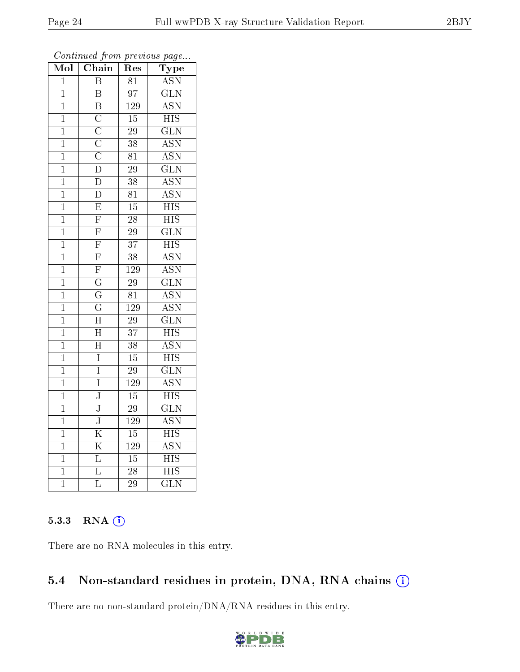| Mol            | Chain                   | ${\mathop{\mathrm{Res}}\nolimits}$ | Type                      |
|----------------|-------------------------|------------------------------------|---------------------------|
| $\overline{1}$ | $\overline{\mathbf{B}}$ | $\overline{81}$                    | <b>ASN</b>                |
| $\mathbf{1}$   | $\overline{\mathrm{B}}$ | $\overline{97}$                    | $\overline{\text{GLN}}$   |
| $\mathbf{1}$   | $\overline{\mathrm{B}}$ | 129                                | <b>ASN</b>                |
| $\mathbf{1}$   | $\overline{C}$          | $\overline{15}$                    | <b>HIS</b>                |
| $\mathbf{1}$   | $\overline{\rm C}$      | $\overline{29}$                    | $\overline{\text{GLN}}$   |
| $\mathbf{1}$   | $\overline{C}$          | 38                                 | <b>ASN</b>                |
| $\mathbf{1}$   | $\overline{\rm C}$      | $\overline{81}$                    | $\overline{\text{ASN}}$   |
| $\overline{1}$ | $\overline{\rm D}$      | $\overline{29}$                    | $\overline{\text{GLN}}$   |
| $\mathbf{1}$   | $\overline{\rm D}$      | 38                                 | <b>ASN</b>                |
| $\mathbf{1}$   | $\overline{\mathrm{D}}$ | $\overline{81}$                    | $\overline{\mathrm{ASN}}$ |
| $\mathbf{1}$   | $\overline{\mathrm{E}}$ | $\overline{15}$                    | $\overline{\mathrm{HIS}}$ |
| $\overline{1}$ | $\overline{\mathrm{F}}$ | $\overline{28}$                    | $\overline{\mathrm{HIS}}$ |
| $\overline{1}$ | $\overline{\mathrm{F}}$ | 29                                 | $\overline{\text{GLN}}$   |
| $\mathbf{1}$   | $\overline{F}$          | $\overline{37}$                    | $\overline{HIS}$          |
| $\overline{1}$ | $\overline{\mathrm{F}}$ | $\overline{38}$                    | $\overline{\text{ASN}}$   |
| $\mathbf{1}$   | $\overline{F}$          | 129                                | <b>ASN</b>                |
| $\overline{1}$ | $\overline{\mathrm{G}}$ | $\overline{29}$                    | $\overline{\text{GLN}}$   |
| $\mathbf{1}$   | $\overline{\mathrm{G}}$ | $\overline{81}$                    | <b>ASN</b>                |
| $\overline{1}$ | $\overline{\mathrm{G}}$ | $\overline{129}$                   | $\overline{\text{ASN}}$   |
| $\mathbf{1}$   | $\overline{\rm H}$      | 29                                 | $\overline{\text{GLN}}$   |
| $\mathbf{1}$   | $\overline{\rm H}$      | $\overline{37}$                    | $\overline{\mathrm{HIS}}$ |
| $\mathbf{1}$   | $\overline{\rm H}$      | $\overline{38}$                    | $\overline{\text{ASN}}$   |
| $\mathbf{1}$   | $\overline{I}$          | $15\,$                             | $\overline{\mathrm{HIS}}$ |
| $\mathbf{1}$   | Ī                       | $\overline{29}$                    | $\overline{\text{GLN}}$   |
| $\mathbf{1}$   | $\overline{I}$          | $\overline{129}$                   | ASN                       |
| $\mathbf{1}$   | $\overline{\text{J}}$   | $\overline{15}$                    | <b>HIS</b>                |
| $\mathbf 1$    | $\overline{\text{J}}$   | $\overline{29}$                    | $\overline{\text{GLN}}$   |
| $\mathbf{1}$   | $\overline{\text{J}}$   | $\overline{129}$                   | $\overline{\text{ASN}}$   |
| $\overline{1}$ | $\overline{\mathrm{K}}$ | $\overline{15}$                    | $\overline{\mathrm{HIS}}$ |
| $\mathbf{1}$   | $\overline{\mathrm{K}}$ | $\overline{129}$                   | $\overline{\mathrm{ASN}}$ |
| $\overline{1}$ | $\overline{\mathrm{L}}$ | 15                                 | $\overline{\mathrm{HIS}}$ |
| $\mathbf{1}$   | $\overline{\mathrm{L}}$ | $\overline{28}$                    | $\overline{\mathrm{HIS}}$ |
| $\mathbf 1$    | $\overline{\mathrm{L}}$ | 29                                 | $\overline{\text{GLN}}$   |

Continued from previous page...

#### 5.3.3 RNA [O](https://www.wwpdb.org/validation/2017/XrayValidationReportHelp#rna)i

There are no RNA molecules in this entry.

### 5.4 Non-standard residues in protein, DNA, RNA chains (i)

There are no non-standard protein/DNA/RNA residues in this entry.

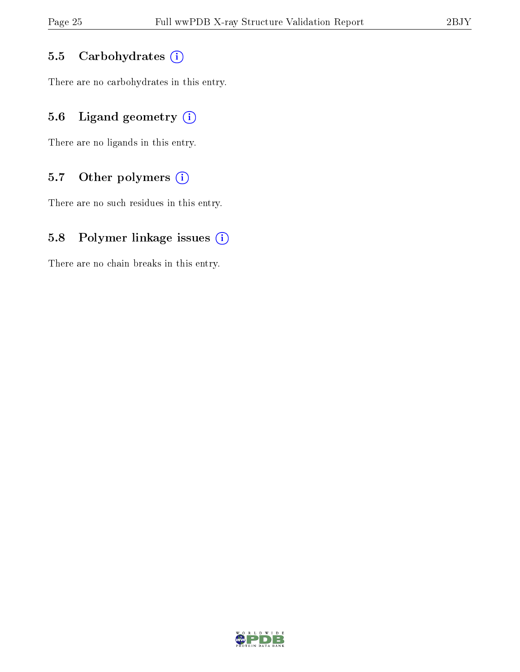#### 5.5 Carbohydrates (i)

There are no carbohydrates in this entry.

### 5.6 Ligand geometry  $(i)$

There are no ligands in this entry.

### 5.7 [O](https://www.wwpdb.org/validation/2017/XrayValidationReportHelp#nonstandard_residues_and_ligands)ther polymers  $(i)$

There are no such residues in this entry.

#### 5.8 Polymer linkage issues  $(i)$

There are no chain breaks in this entry.

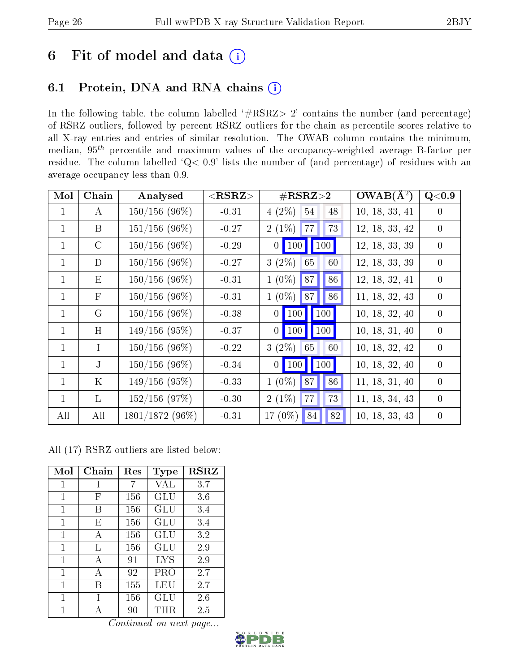# 6 Fit of model and data  $(i)$

# 6.1 Protein, DNA and RNA chains  $(i)$

In the following table, the column labelled  $#RSRZ> 2'$  contains the number (and percentage) of RSRZ outliers, followed by percent RSRZ outliers for the chain as percentile scores relative to all X-ray entries and entries of similar resolution. The OWAB column contains the minimum, median,  $95<sup>th</sup>$  percentile and maximum values of the occupancy-weighted average B-factor per residue. The column labelled ' $Q< 0.9$ ' lists the number of (and percentage) of residues with an average occupancy less than 0.9.

| Mol          | Chain         | Analysed         | ${ <\hspace{-1.5pt}{\mathrm{RSRZ}} \hspace{-1.5pt}>}$ | $\#\text{RSRZ}\text{>2}$   | $OWAB(A^2)$    | Q<0.9          |
|--------------|---------------|------------------|-------------------------------------------------------|----------------------------|----------------|----------------|
| $\mathbf{1}$ | $\bf{A}$      | $150/156$ (96%)  | $-0.31$                                               | $4(2\%)$<br>54<br>48       | 10, 18, 33, 41 | $\theta$       |
| $\mathbf{1}$ | B             | $151/156$ (96\%) | $-0.27$                                               | 73<br>77<br>$2(1\%)$       | 12, 18, 33, 42 | $\overline{0}$ |
| $\mathbf{1}$ | $\mathcal{C}$ | $150/156$ (96%)  | $-0.29$                                               | 0   100   100              | 12, 18, 33, 39 | $\overline{0}$ |
| $\mathbf{1}$ | D             | $150/156$ (96%)  | $-0.27$                                               | $3(2\%)$<br>60<br>65       | 12, 18, 33, 39 | $\overline{0}$ |
| $\mathbf{1}$ | E             | $150/156$ (96%)  | $-0.31$                                               | 86<br>$1(0\%)$<br> 87      | 12, 18, 32, 41 | $\theta$       |
| $\mathbf{1}$ | $\mathbf{F}$  | $150/156$ (96\%) | $-0.31$                                               | $\vert$ 86<br>$1(0\%)$ 87  | 11, 18, 32, 43 | $\overline{0}$ |
| $\mathbf{1}$ | $\rm G$       | $150/156$ (96%)  | $-0.38$                                               | 0   100   100              | 10, 18, 32, 40 | $\overline{0}$ |
| $\mathbf{1}$ | H             | $149/156(95\%)$  | $-0.37$                                               | $0$   100  <br>$\vert$ 100 | 10, 18, 31, 40 | $\theta$       |
| $\mathbf{1}$ | $\mathbf{I}$  | $150/156(96\%)$  | $-0.22$                                               | $3(2\%)$ 65<br>60          | 10, 18, 32, 42 | $\overline{0}$ |
| $\mathbf{1}$ | $\mathbf{J}$  | $150/156$ (96\%) | $-0.34$                                               | 0   100   100              | 10, 18, 32, 40 | $\theta$       |
| $\mathbf{1}$ | $\rm K$       | $149/156$ (95%)  | $-0.33$                                               | 87<br>$1(0\%)$<br>86       | 11, 18, 31, 40 | $\theta$       |
| $\mathbf{1}$ | $\mathbf{L}$  | $152/156$ (97%)  | $-0.30$                                               | $2(1\%)$<br> 77 <br>73     | 11, 18, 34, 43 | $\theta$       |
| All          | All           | 1801/1872 (96%)  | $-0.31$                                               | $82\,$<br>17 $(0\%)$<br>84 | 10, 18, 33, 43 | $\overline{0}$ |

All (17) RSRZ outliers are listed below:

| Mol          | $Chain$      | Res | <b>Type</b> | <b>RSRZ</b> |
|--------------|--------------|-----|-------------|-------------|
| 1            | $\mathbf{I}$ | 7   | VAL         | 3.7         |
| 1            | F            | 156 | GLU         | 3.6         |
| 1            | R            | 156 | GLU         | 3.4         |
| 1            | E            | 156 | GLU         | 3.4         |
| 1            | А            | 156 | GLU         | 3.2         |
| 1            | L            | 156 | GLU         | 2.9         |
| 1            | А            | 91  | <b>LYS</b>  | 2.9         |
| $\mathbf{1}$ | А            | 92  | PRO         | 2.7         |
| $\mathbf{1}$ | В            | 155 | LEU         | 2.7         |
| 1            |              | 156 | GLU         | 2.6         |
| 1            |              | 90  | THR.        | 2.5         |